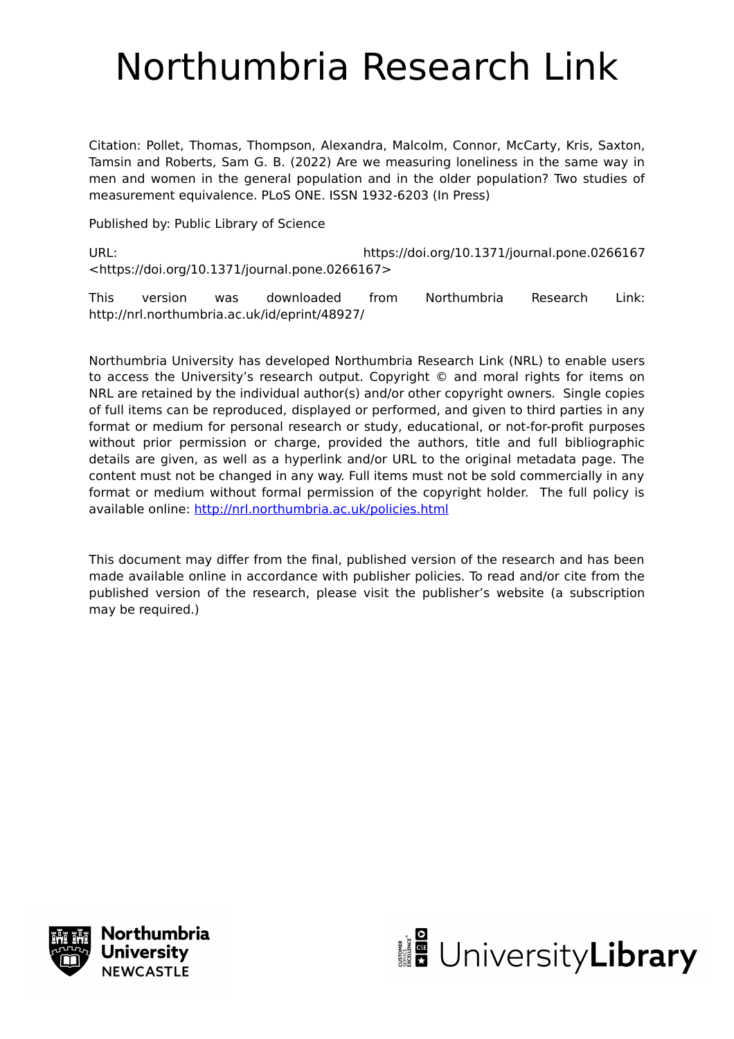# Northumbria Research Link

Citation: Pollet, Thomas, Thompson, Alexandra, Malcolm, Connor, McCarty, Kris, Saxton, Tamsin and Roberts, Sam G. B. (2022) Are we measuring loneliness in the same way in men and women in the general population and in the older population? Two studies of measurement equivalence. PLoS ONE. ISSN 1932-6203 (In Press)

Published by: Public Library of Science

URL: https://doi.org/10.1371/journal.pone.0266167 <https://doi.org/10.1371/journal.pone.0266167>

This version was downloaded from Northumbria Research Link: http://nrl.northumbria.ac.uk/id/eprint/48927/

Northumbria University has developed Northumbria Research Link (NRL) to enable users to access the University's research output. Copyright © and moral rights for items on NRL are retained by the individual author(s) and/or other copyright owners. Single copies of full items can be reproduced, displayed or performed, and given to third parties in any format or medium for personal research or study, educational, or not-for-profit purposes without prior permission or charge, provided the authors, title and full bibliographic details are given, as well as a hyperlink and/or URL to the original metadata page. The content must not be changed in any way. Full items must not be sold commercially in any format or medium without formal permission of the copyright holder. The full policy is available online:<http://nrl.northumbria.ac.uk/policies.html>

This document may differ from the final, published version of the research and has been made available online in accordance with publisher policies. To read and/or cite from the published version of the research, please visit the publisher's website (a subscription may be required.)



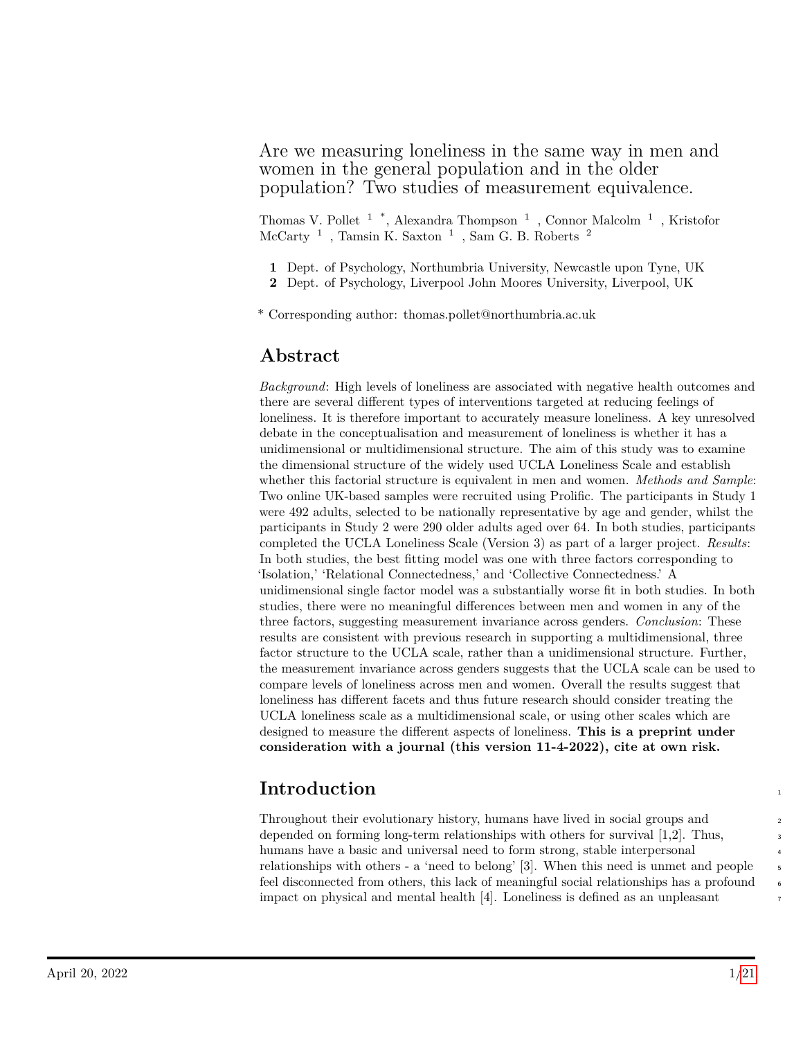## Are we measuring loneliness in the same way in men and women in the general population and in the older population? Two studies of measurement equivalence.

Thomas V. Pollet  $1$ <sup>\*</sup>, Alexandra Thompson  $1$ , Connor Malcolm  $1$ , Kristofor McCarty $^1\,$ , Tamsin K. Saxton $^1\,$ , Sam G. B. Roberts $^2\,$ 

- **1** Dept. of Psychology, Northumbria University, Newcastle upon Tyne, UK
- **2** Dept. of Psychology, Liverpool John Moores University, Liverpool, UK

\* Corresponding author: thomas.pollet@northumbria.ac.uk

# **Abstract**

*Background*: High levels of loneliness are associated with negative health outcomes and there are several different types of interventions targeted at reducing feelings of loneliness. It is therefore important to accurately measure loneliness. A key unresolved debate in the conceptualisation and measurement of loneliness is whether it has a unidimensional or multidimensional structure. The aim of this study was to examine the dimensional structure of the widely used UCLA Loneliness Scale and establish whether this factorial structure is equivalent in men and women. *Methods and Sample*: Two online UK-based samples were recruited using Prolific. The participants in Study 1 were 492 adults, selected to be nationally representative by age and gender, whilst the participants in Study 2 were 290 older adults aged over 64. In both studies, participants completed the UCLA Loneliness Scale (Version 3) as part of a larger project. *Results*: In both studies, the best fitting model was one with three factors corresponding to 'Isolation,' 'Relational Connectedness,' and 'Collective Connectedness.' A unidimensional single factor model was a substantially worse fit in both studies. In both studies, there were no meaningful differences between men and women in any of the three factors, suggesting measurement invariance across genders. *Conclusion*: These results are consistent with previous research in supporting a multidimensional, three factor structure to the UCLA scale, rather than a unidimensional structure. Further, the measurement invariance across genders suggests that the UCLA scale can be used to compare levels of loneliness across men and women. Overall the results suggest that loneliness has different facets and thus future research should consider treating the UCLA loneliness scale as a multidimensional scale, or using other scales which are designed to measure the different aspects of loneliness. **This is a preprint under consideration with a journal (this version 11-4-2022), cite at own risk.**

# **Introduction** <sup>1</sup>

Throughout their evolutionary history, humans have lived in social groups and <sup>2</sup> depended on forming long-term relationships with others for survival  $[1,2]$ . Thus, humans have a basic and universal need to form strong, stable interpersonal relationships with others  $-$  a 'need to belong'  $[3]$ . When this need is unmet and people feel disconnected from others, this lack of meaningful social relationships has a profound impact on physical and mental health [4]. Loneliness is defined as an unpleasant <sup>7</sup>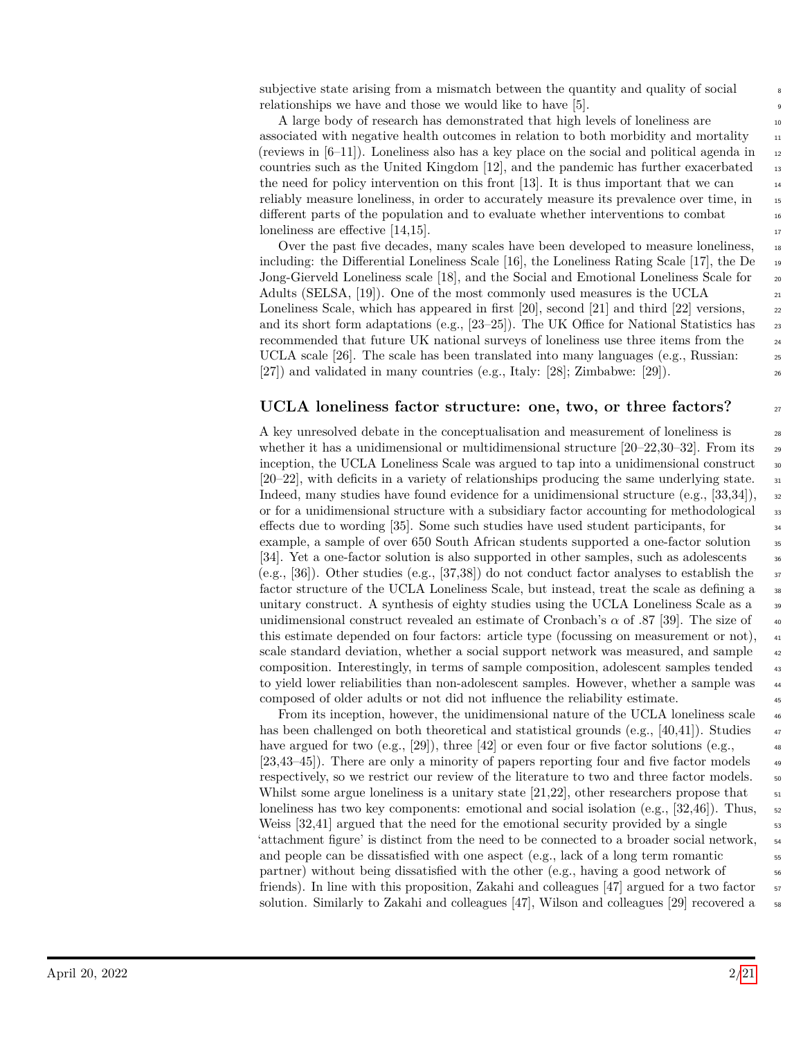subjective state arising from a mismatch between the quantity and quality of social relationships we have and those we would like to have [5]. <sup>9</sup>

A large body of research has demonstrated that high levels of loneliness are  $10$ associated with negative health outcomes in relation to both morbidity and mortality 11 (reviews in  $[6-11]$ ). Loneliness also has a key place on the social and political agenda in  $\frac{1}{2}$ countries such as the United Kingdom  $[12]$ , and the pandemic has further exacerbated  $_{13}$ the need for policy intervention on this front [13]. It is thus important that we can reliably measure loneliness, in order to accurately measure its prevalence over time, in  $\frac{1}{15}$ different parts of the population and to evaluate whether interventions to combat  $\blacksquare$ loneliness are effective  $[14,15]$ .

Over the past five decades, many scales have been developed to measure loneliness, including: the Differential Loneliness Scale [16], the Loneliness Rating Scale [17], the De <sup>19</sup> Jong-Gierveld Loneliness scale [18], and the Social and Emotional Loneliness Scale for 20 Adults (SELSA, [19]). One of the most commonly used measures is the UCLA  $_{21}$ Loneliness Scale, which has appeared in first  $[20]$ , second  $[21]$  and third  $[22]$  versions,  $\qquad$ and its short form adaptations (e.g.,  $[23-25]$ ). The UK Office for National Statistics has  $\frac{23}{25}$ recommended that future UK national surveys of loneliness use three items from the <sup>24</sup> UCLA scale [26]. The scale has been translated into many languages (e.g., Russian:  $\frac{25}{25}$ [27]) and validated in many countries (e.g., Italy: [28]; Zimbabwe: [29]).

#### **UCLA loneliness factor structure: one, two, or three factors?** <sup>27</sup>

A key unresolved debate in the conceptualisation and measurement of loneliness is 28 whether it has a unidimensional or multidimensional structure  $[20-22,30-32]$ . From its 29 inception, the UCLA Loneliness Scale was argued to tap into a unidimensional construct so  $[20-22]$ , with deficits in a variety of relationships producing the same underlying state.  $\frac{31}{2}$ Indeed, many studies have found evidence for a unidimensional structure (e.g., [33,34]),  $\frac{32}{2}$ or for a unidimensional structure with a subsidiary factor accounting for methodological <sup>33</sup> effects due to wording [35]. Some such studies have used student participants, for <sup>34</sup> example, a sample of over 650 South African students supported a one-factor solution <sup>35</sup> [34]. Yet a one-factor solution is also supported in other samples, such as adolescents  $\frac{36}{10}$ (e.g., [36]). Other studies (e.g., [37,38]) do not conduct factor analyses to establish the  $\frac{3}{7}$ factor structure of the UCLA Loneliness Scale, but instead, treat the scale as defining a  $\frac{38}{10}$ unitary construct. A synthesis of eighty studies using the UCLA Loneliness Scale as a  $\frac{39}{2}$ unidimensional construct revealed an estimate of Cronbach's  $\alpha$  of .87 [39]. The size of  $\alpha$ this estimate depended on four factors: article type (focussing on measurement or not),  $_{41}$ scale standard deviation, whether a social support network was measured, and sample  $\frac{42}{42}$ composition. Interestingly, in terms of sample composition, adolescent samples tended <sup>43</sup> to yield lower reliabilities than non-adolescent samples. However, whether a sample was  $\frac{44}{4}$ composed of older adults or not did not influence the reliability estimate. <sup>45</sup>

From its inception, however, the unidimensional nature of the UCLA loneliness scale  $_{46}$ has been challenged on both theoretical and statistical grounds (e.g., [40,41]). Studies  $\frac{47}{47}$ have argued for two (e.g., [29]), three [42] or even four or five factor solutions (e.g.,  $\overline{\phantom{a}}$ [23,43–45]). There are only a minority of papers reporting four and five factor models <sup>49</sup> respectively, so we restrict our review of the literature to two and three factor models.  $\sim$ Whilst some argue loneliness is a unitary state  $[21,22]$ , other researchers propose that  $\overline{51}$ loneliness has two key components: emotional and social isolation (e.g.,  $[32,46]$ ). Thus,  $\frac{52}{2}$ Weiss  $[32,41]$  argued that the need for the emotional security provided by a single  $\frac{53}{2}$ 'attachment figure' is distinct from the need to be connected to a broader social network, <sup>54</sup> and people can be dissatisfied with one aspect  $(e.g., \nle k$  of a long term romantic  $\sim$ partner) without being dissatisfied with the other (e.g., having a good network of  $\sim$ friends). In line with this proposition, Zakahi and colleagues  $[47]$  argued for a two factor  $\frac{57}{2}$ solution. Similarly to Zakahi and colleagues [47], Wilson and colleagues [29] recovered a  $\sim$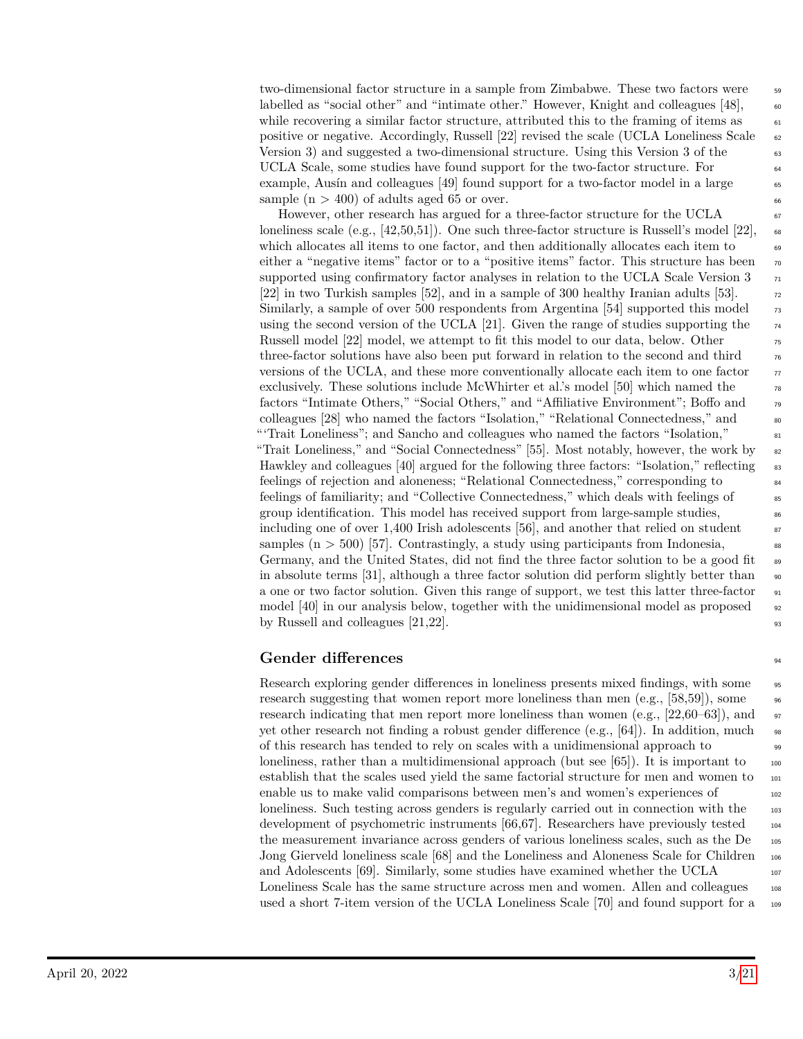two-dimensional factor structure in a sample from Zimbabwe. These two factors were  $\frac{59}{2}$ labelled as "social other" and "intimate other." However, Knight and colleagues [48],  $\qquad \circ$ while recovering a similar factor structure, attributed this to the framing of items as  $\frac{61}{100}$ positive or negative. Accordingly, Russell [22] revised the scale (UCLA Loneliness Scale 62 Version 3) and suggested a two-dimensional structure. Using this Version 3 of the 63 UCLA Scale, some studies have found support for the two-factor structure. For 64 example, Ausín and colleagues  $[49]$  found support for a two-factor model in a large  $\overline{6}$ sample  $(n > 400)$  of adults aged 65 or over.

However, other research has argued for a three-factor structure for the UCLA  $\frac{67}{67}$ loneliness scale (e.g., [42,50,51]). One such three-factor structure is Russell's model [22],  $\epsilon$ which allocates all items to one factor, and then additionally allocates each item to 69 either a "negative items" factor or to a "positive items" factor. This structure has been  $\pi$ supported using confirmatory factor analyses in relation to the UCLA Scale Version  $3\pi$ [22] in two Turkish samples [52], and in a sample of 300 healthy Iranian adults [53].  $\frac{1}{22}$ Similarly, a sample of over 500 respondents from Argentina  $[54]$  supported this model  $\frac{73}{2}$ using the second version of the UCLA [21]. Given the range of studies supporting the  $\frac{74}{4}$ Russell model [22] model, we attempt to fit this model to our data, below. Other  $\frac{75}{15}$ three-factor solutions have also been put forward in relation to the second and third  $\frac{76}{6}$ versions of the UCLA, and these more conventionally allocate each item to one factor  $\eta$ exclusively. These solutions include McWhirter et al.'s model [50] which named the  $\frac{78}{18}$ factors "Intimate Others," "Social Others," and "Affiliative Environment"; Boffo and <sup>79</sup> colleagues [28] who named the factors "Isolation," "Relational Connectedness," and  $\qquad$  80 "'Trait Loneliness"; and Sancho and colleagues who named the factors "Isolation," <sup>81</sup> "Trait Loneliness," and "Social Connectedness" [55]. Most notably, however, the work by <sup>82</sup> Hawkley and colleagues [40] argued for the following three factors: "Isolation," reflecting  $\frac{1}{33}$ feelings of rejection and aloneness; "Relational Connectedness," corresponding to <sup>84</sup> feelings of familiarity; and "Collective Connectedness," which deals with feelings of <sup>85</sup> group identification. This model has received support from large-sample studies,  $\frac{86}{100}$ including one of over  $1,400$  Irish adolescents [56], and another that relied on student  $\frac{87}{100}$ samples ( $n > 500$ ) [57]. Contrastingly, a study using participants from Indonesia, Germany, and the United States, did not find the three factor solution to be a good fit  $\bullet$ in absolute terms [31], although a three factor solution did perform slightly better than  $\sim$ a one or two factor solution. Given this range of support, we test this latter three-factor  $\frac{91}{21}$ model  $[40]$  in our analysis below, together with the unidimensional model as proposed  $\frac{92}{2}$ by Russell and colleagues  $[21,22]$ .

### **Gender differences** <sup>94</sup>

Research exploring gender differences in loneliness presents mixed findings, with some  $\frac{1}{95}$ research suggesting that women report more loneliness than men  $(e.g., [58,59])$ , some research indicating that men report more loneliness than women (e.g., [22,60–63]), and  $\frac{97}{97}$ yet other research not finding a robust gender difference (e.g.,  $[64]$ ). In addition, much  $\frac{98}{98}$ of this research has tended to rely on scales with a unidimensional approach to <sup>99</sup> loneliness, rather than a multidimensional approach (but see  $[65]$ ). It is important to  $\frac{1000}{2000}$ establish that the scales used yield the same factorial structure for men and women to  $_{101}$ enable us to make valid comparisons between men's and women's experiences of  $_{102}$ loneliness. Such testing across genders is regularly carried out in connection with the 103 development of psychometric instruments [66,67]. Researchers have previously tested 104 the measurement invariance across genders of various loneliness scales, such as the De  $_{105}$ Jong Gierveld loneliness scale [68] and the Loneliness and Aloneness Scale for Children <sup>106</sup> and Adolescents [69]. Similarly, some studies have examined whether the UCLA  $_{107}$ Loneliness Scale has the same structure across men and women. Allen and colleagues 108 used a short 7-item version of the UCLA Loneliness Scale [70] and found support for a <sup>109</sup>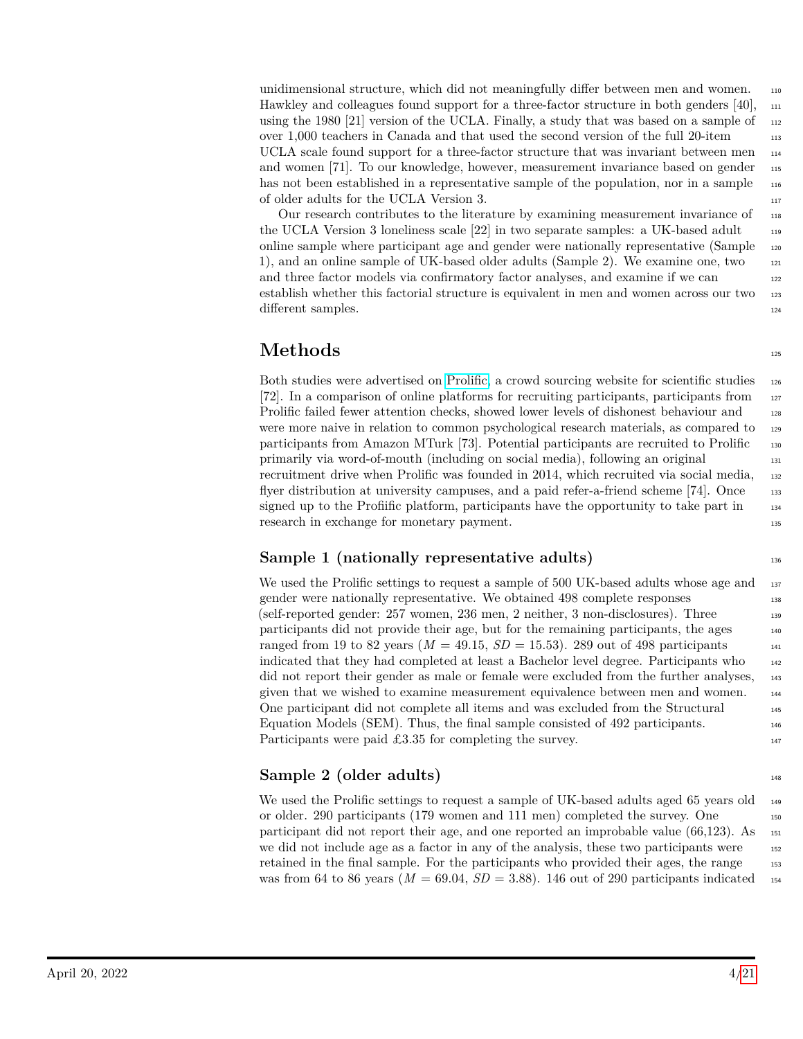unidimensional structure, which did not meaningfully differ between men and women. <sup>110</sup> Hawkley and colleagues found support for a three-factor structure in both genders [40],  $_{111}$ using the 1980 [21] version of the UCLA. Finally, a study that was based on a sample of  $_{112}$ over 1,000 teachers in Canada and that used the second version of the full 20-item <sup>113</sup> UCLA scale found support for a three-factor structure that was invariant between men  $_{114}$ and women [71]. To our knowledge, however, measurement invariance based on gender 115 has not been established in a representative sample of the population, nor in a sample 116 of older adults for the UCLA Version 3.

Our research contributes to the literature by examining measurement invariance of <sup>118</sup> the UCLA Version 3 loneliness scale [22] in two separate samples: a UK-based adult online sample where participant age and gender were nationally representative (Sample <sup>120</sup> 1), and an online sample of UK-based older adults (Sample 2). We examine one, two <sup>121</sup> and three factor models via confirmatory factor analyses, and examine if we can 122 establish whether this factorial structure is equivalent in men and women across our two 123 different samples. 124

# **Methods** <sup>125</sup>

Both studies were advertised on [Prolific,](https://prolic.co) a crowd sourcing website for scientific studies 126 [72]. In a comparison of online platforms for recruiting participants, participants from <sup>127</sup> Prolific failed fewer attention checks, showed lower levels of dishonest behaviour and 128 were more naive in relation to common psychological research materials, as compared to  $_{129}$ participants from Amazon MTurk [73]. Potential participants are recruited to Prolific <sup>130</sup> primarily via word-of-mouth (including on social media), following an original <sup>131</sup> recruitment drive when Prolific was founded in 2014, which recruited via social media, 132 flyer distribution at university campuses, and a paid refer-a-friend scheme [74]. Once 133 signed up to the Profiific platform, participants have the opportunity to take part in  $_{134}$ research in exchange for monetary payment.

# **Sample 1 (nationally representative adults)** 136

We used the Prolific settings to request a sample of 500 UK-based adults whose age and  $_{137}$ gender were nationally representative. We obtained 498 complete responses 138 (self-reported gender: 257 women, 236 men, 2 neither, 3 non-disclosures). Three <sup>139</sup> participants did not provide their age, but for the remaining participants, the ages <sup>140</sup> ranged from 19 to 82 years  $(M = 49.15, SD = 15.53)$ . 289 out of 498 participants  $_{141}$ indicated that they had completed at least a Bachelor level degree. Participants who <sup>142</sup> did not report their gender as male or female were excluded from the further analyses, 143 given that we wished to examine measurement equivalence between men and women. <sup>144</sup> One participant did not complete all items and was excluded from the Structural <sup>145</sup> Equation Models (SEM). Thus, the final sample consisted of 492 participants. <sup>146</sup> Participants were paid £3.35 for completing the survey.  $147$ 

# **Sample 2 (older adults)** 148

We used the Prolific settings to request a sample of UK-based adults aged 65 years old  $_{149}$ or older. 290 participants (179 women and 111 men) completed the survey. One participant did not report their age, and one reported an improbable value  $(66.123)$ . As  $_{151}$ we did not include age as a factor in any of the analysis, these two participants were  $_{152}$ retained in the final sample. For the participants who provided their ages, the range 153 was from 64 to 86 years ( $M = 69.04$ ,  $SD = 3.88$ ). 146 out of 290 participants indicated 154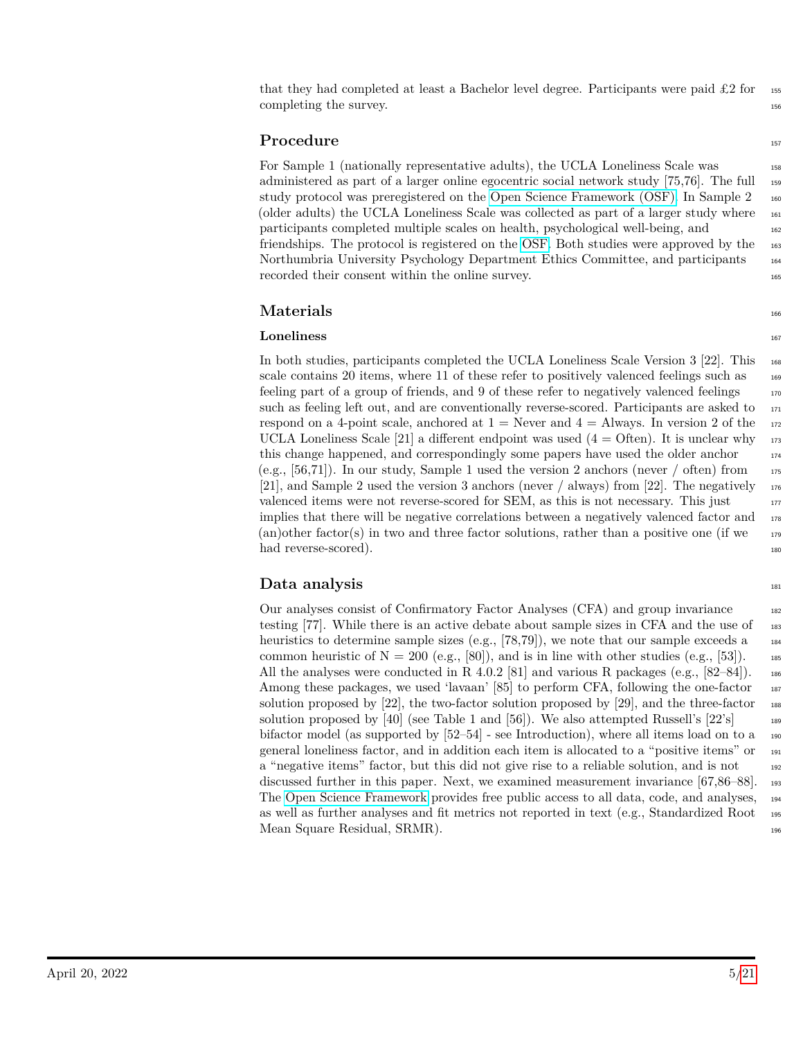that they had completed at least a Bachelor level degree. Participants were paid  $\pounds 2$  for 155 completing the survey.

### **Procedure** the state of  $\frac{157}{157}$

For Sample 1 (nationally representative adults), the UCLA Loneliness Scale was 158 administered as part of a larger online egocentric social network study [75,76]. The full 159 study protocol was preregistered on the [Open Science Framework \(OSF\).](https://osf.io/4jgtk/) In Sample 2 <sup>160</sup> (older adults) the UCLA Loneliness Scale was collected as part of a larger study where <sup>161</sup> participants completed multiple scales on health, psychological well-being, and <sup>162</sup> friendships. The protocol is registered on the [OSF.](https://osf.io/5f2ph/) Both studies were approved by the <sup>163</sup> Northumbria University Psychology Department Ethics Committee, and participants <sup>164</sup> recorded their consent within the online survey.

### $\mathbf{Materials} \longrightarrow \mathbf{1}_{166}$

### **Loneliness** 167

In both studies, participants completed the UCLA Loneliness Scale Version 3 [22]. This <sup>168</sup> scale contains 20 items, where 11 of these refer to positively valenced feelings such as  $_{169}$ feeling part of a group of friends, and 9 of these refer to negatively valenced feelings  $170$ such as feeling left out, and are conventionally reverse-scored. Participants are asked to  $\frac{171}{171}$ respond on a 4-point scale, anchored at  $1 =$  Never and  $4 =$  Always. In version 2 of the 172 UCLA Loneliness Scale [21] a different endpoint was used  $(4 = \text{Often})$ . It is unclear why  $\frac{173}{173}$ this change happened, and correspondingly some papers have used the older anchor  $174$ (e.g., [56,71]). In our study, Sample 1 used the version 2 anchors (never  $/$  often) from  $175$ [21], and Sample 2 used the version 3 anchors (never / always) from [22]. The negatively  $\frac{176}{176}$ valenced items were not reverse-scored for SEM, as this is not necessary. This just  $177$ implies that there will be negative correlations between a negatively valenced factor and <sup>178</sup> (an)other factor(s) in two and three factor solutions, rather than a positive one (if we  $179$ had reverse-scored). 180

### **Data analysis** 181

Our analyses consist of Confirmatory Factor Analyses (CFA) and group invariance <sup>182</sup> testing [77]. While there is an active debate about sample sizes in CFA and the use of  $\frac{183}{183}$ heuristics to determine sample sizes (e.g.,  $[78,79]$ ), we note that our sample exceeds a  $_{184}$ common heuristic of  $N = 200$  (e.g., [80]), and is in line with other studies (e.g., [53]). 185 All the analyses were conducted in R 4.0.2 [81] and various R packages (e.g.,  $[82-84]$ ). 186 Among these packages, we used 'lavaan' [85] to perform CFA, following the one-factor 187 solution proposed by  $[22]$ , the two-factor solution proposed by  $[29]$ , and the three-factor 188 solution proposed by [40] (see Table 1 and [56]). We also attempted Russell's  $[22]$ 's  $\qquad$ bifactor model (as supported by  $[52–54]$  - see Introduction), where all items load on to a  $_{190}$ general loneliness factor, and in addition each item is allocated to a "positive items" or <sup>191</sup> a "negative items" factor, but this did not give rise to a reliable solution, and is not  $_{192}$ discussed further in this paper. Next, we examined measurement invariance [67,86–88]. <sup>193</sup> The [Open Science Framework](https://osf.io/3puht/) provides free public access to all data, code, and analyses, <sup>194</sup> as well as further analyses and fit metrics not reported in text (e.g., Standardized Root <sup>195</sup> Mean Square Residual, SRMR). 196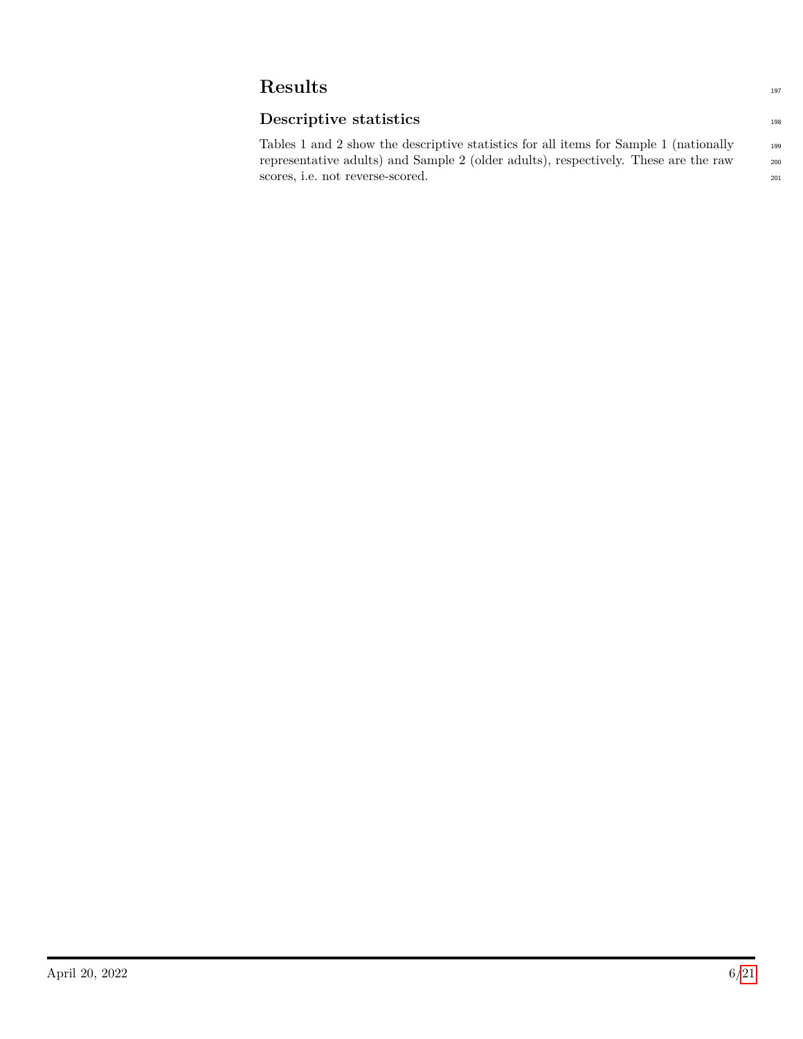# **Results**

# **Descriptive statistics**

Tables 1 and 2 show the descriptive statistics for all items for Sample 1 (nationally 199 representative adults) and Sample 2 (older adults), respectively. These are the raw <sup>200</sup> scores, i.e. not reverse-scored. 201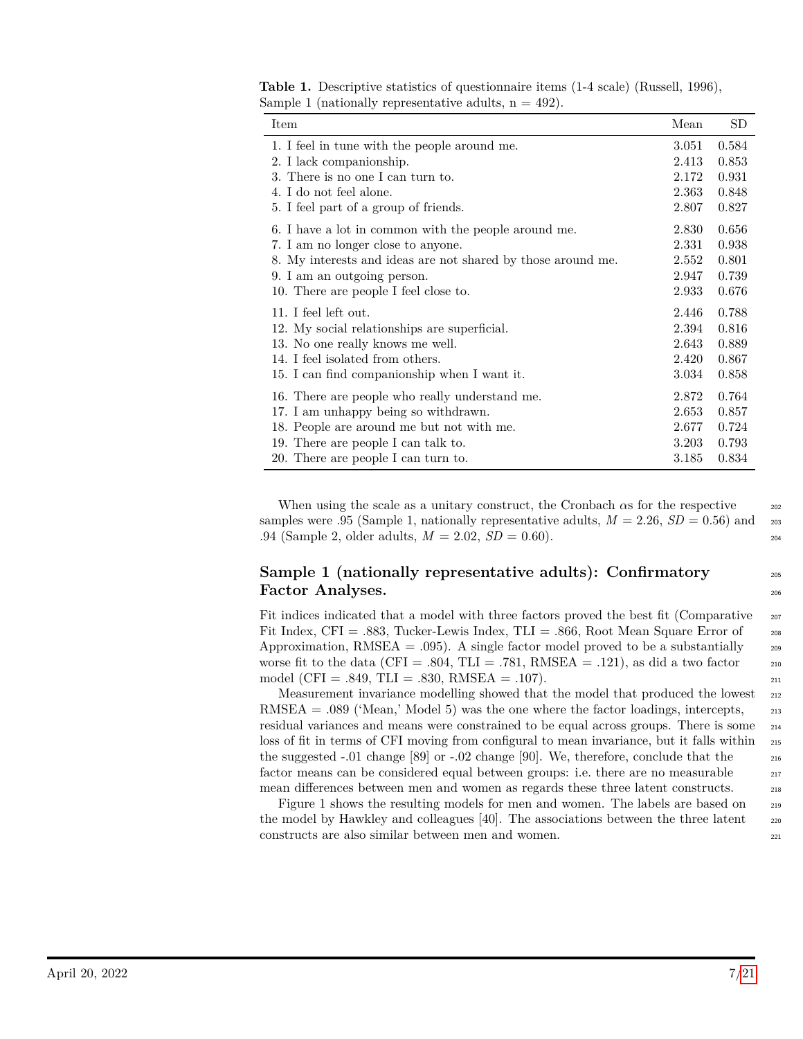| Item                                                         | Mean  | <b>SD</b> |
|--------------------------------------------------------------|-------|-----------|
| 1. I feel in tune with the people around me.                 | 3.051 | 0.584     |
| 2. I lack companionship.                                     | 2.413 | 0.853     |
| 3. There is no one I can turn to.                            | 2.172 | 0.931     |
| 4. I do not feel alone.                                      | 2.363 | 0.848     |
| 5. I feel part of a group of friends.                        | 2.807 | 0.827     |
| 6. I have a lot in common with the people around me.         | 2.830 | 0.656     |
| 7. I am no longer close to anyone.                           | 2.331 | 0.938     |
| 8. My interests and ideas are not shared by those around me. | 2.552 | 0.801     |
| 9. I am an outgoing person.                                  | 2.947 | 0.739     |
| 10. There are people I feel close to.                        | 2.933 | 0.676     |
| 11. I feel left out.                                         | 2.446 | 0.788     |
| 12. My social relationships are superficial.                 | 2.394 | 0.816     |
| 13. No one really knows me well.                             | 2.643 | 0.889     |
| 14. I feel isolated from others.                             | 2.420 | 0.867     |
| 15. I can find companionship when I want it.                 | 3.034 | 0.858     |
|                                                              |       |           |

**Table 1.** Descriptive statistics of questionnaire items (1-4 scale) (Russell, 1996), Sample 1 (nationally representative adults,  $n = 492$ ).

When using the scale as a unitary construct, the Cronbach  $\alpha$ s for the respective  $\alpha$ samples were .95 (Sample 1, nationally representative adults,  $M = 2.26$ ,  $SD = 0.56$ ) and 203  $.94$  (Sample 2, older adults,  $M = 2.02$ ,  $SD = 0.60$ ).

16. There are people who really understand me. 2.872 0.764 17. I am unhappy being so withdrawn. 2.653 0.857 18. People are around me but not with me. 2.677 0.724 19. There are people I can talk to. 3.203 0.793 20. There are people I can turn to. 3.185 0.834

### **Sample 1 (nationally representative adults): Confirmatory 205 Factor Analyses.** <sup>206</sup>

Fit indices indicated that a model with three factors proved the best fit (Comparative 207 Fit Index, CFI = .883, Tucker-Lewis Index, TLI = .866, Root Mean Square Error of  $_{208}$ Approximation, RMSEA = .095). A single factor model proved to be a substantially  $_{209}$ worse fit to the data (CFI = .804, TLI = .781, RMSEA = .121), as did a two factor  $\qquad$  210 model (CFI = .849, TLI = .830, RMSEA = .107).

Measurement invariance modelling showed that the model that produced the lowest  $_{212}$  $RMSEA = .089$  ('Mean,' Model 5) was the one where the factor loadings, intercepts,  $_{213}$ residual variances and means were constrained to be equal across groups. There is some <sup>214</sup> loss of fit in terms of CFI moving from configural to mean invariance, but it falls within <sup>215</sup> the suggested  $-0.01$  change [89] or  $-0.02$  change [90]. We, therefore, conclude that the  $216$ factor means can be considered equal between groups: i.e. there are no measurable 217 mean differences between men and women as regards these three latent constructs. <sup>218</sup>

Figure 1 shows the resulting models for men and women. The labels are based on  $_{219}$ the model by Hawkley and colleagues [40]. The associations between the three latent  $\qquad$  220 constructs are also similar between men and women. <sup>221</sup>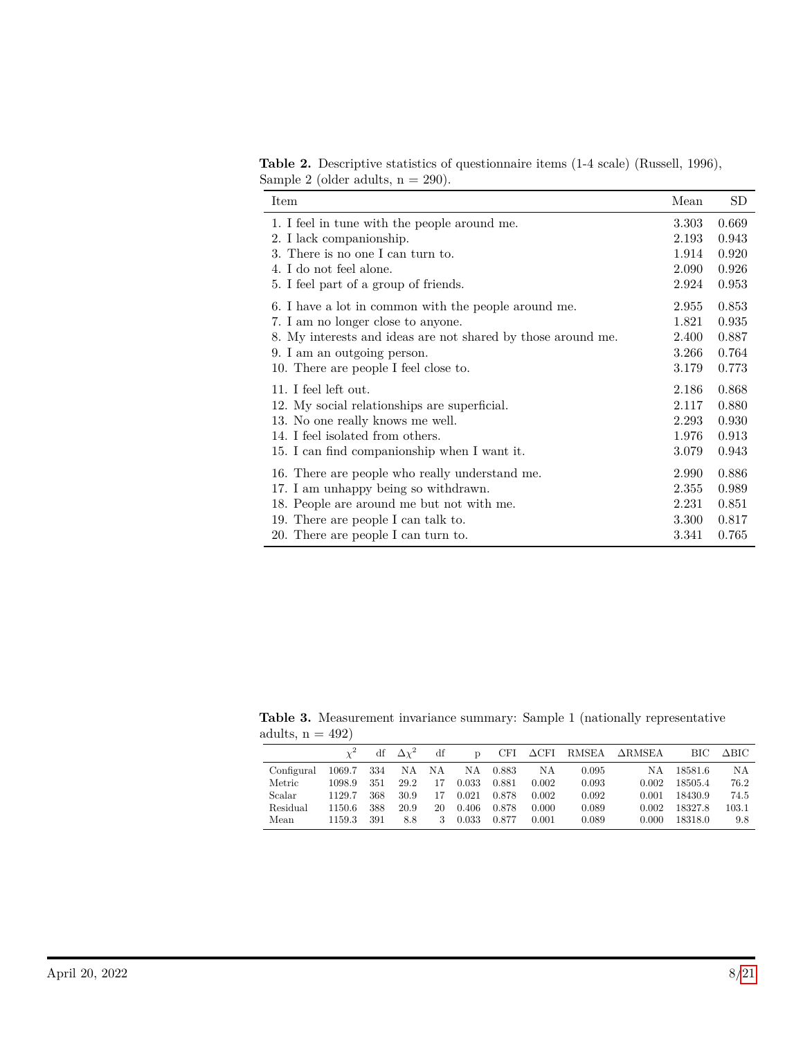**Table 2.** Descriptive statistics of questionnaire items (1-4 scale) (Russell, 1996), Sample 2 (older adults,  $n = 290$ ).

| Item                                                         | Mean  | SD    |
|--------------------------------------------------------------|-------|-------|
| 1. I feel in tune with the people around me.                 | 3.303 | 0.669 |
| 2. I lack companionship.                                     | 2.193 | 0.943 |
| 3. There is no one I can turn to.                            | 1.914 | 0.920 |
| 4. I do not feel alone.                                      | 2.090 | 0.926 |
| 5. I feel part of a group of friends.                        | 2.924 | 0.953 |
| 6. I have a lot in common with the people around me.         | 2.955 | 0.853 |
| 7. I am no longer close to anyone.                           | 1.821 | 0.935 |
| 8. My interests and ideas are not shared by those around me. | 2.400 | 0.887 |
| 9. I am an outgoing person.                                  | 3.266 | 0.764 |
| 10. There are people I feel close to.                        | 3.179 | 0.773 |
| 11. I feel left out.                                         | 2.186 | 0.868 |
| 12. My social relationships are superficial.                 | 2.117 | 0.880 |
| 13. No one really knows me well.                             | 2.293 | 0.930 |
| 14. I feel isolated from others.                             | 1.976 | 0.913 |
| 15. I can find companionship when I want it.                 | 3.079 | 0.943 |
| 16. There are people who really understand me.               | 2.990 | 0.886 |
| 17. I am unhappy being so withdrawn.                         | 2.355 | 0.989 |
| 18. People are around me but not with me.                    | 2.231 | 0.851 |
| 19. There are people I can talk to.                          | 3.300 | 0.817 |
| 20. There are people I can turn to.                          | 3.341 | 0.765 |

**Table 3.** Measurement invariance summary: Sample 1 (nationally representative adults,  $n = 492$ 

|            |        |     | $\Delta\chi^2$ | df | D     | CFI   | $\Delta\text{CFI}$ | RMSEA | $\Delta \text{RMSEA}$ | BІC     | ∆віс      |
|------------|--------|-----|----------------|----|-------|-------|--------------------|-------|-----------------------|---------|-----------|
| Configural | 1069.7 | 334 | NA             | NA | NA    | 0.883 | ΝA                 | 0.095 | NA                    | 18581.6 | NA        |
| Metric     | 1098.9 | 351 | 29.2           | 17 | 0.033 | 0.881 | 0.002              | 0.093 | 0.002                 | 18505.4 | 76.2      |
| Scalar     | 1129.7 | 368 | 30.9           |    | 0.021 | 0.878 | 0.002              | 0.092 | 0.001                 | 18430.9 | 74.5      |
| Residual   | 1150.6 | 388 | 20.9           | 20 | 0.406 | 0.878 | 0.000              | 0.089 | 0.002                 | 18327.8 | $103.1\,$ |
| Mean       | 1159.3 | 391 | 8.8            | 3  | 0.033 | 0.877 | 0.001              | 0.089 | 0.000                 | 18318.0 | 9.8       |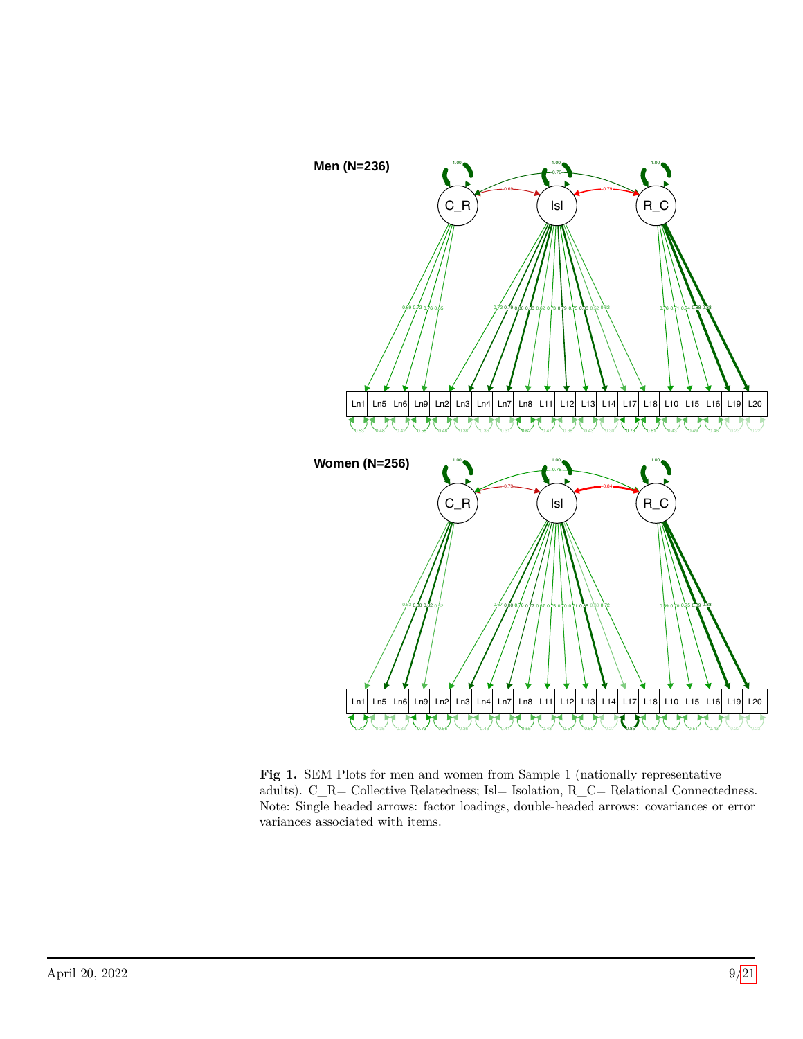

**Fig 1.** SEM Plots for men and women from Sample 1 (nationally representative adults). C\_R= Collective Relatedness; Isl= Isolation, R\_C= Relational Connectedness. Note: Single headed arrows: factor loadings, double-headed arrows: covariances or error variances associated with items.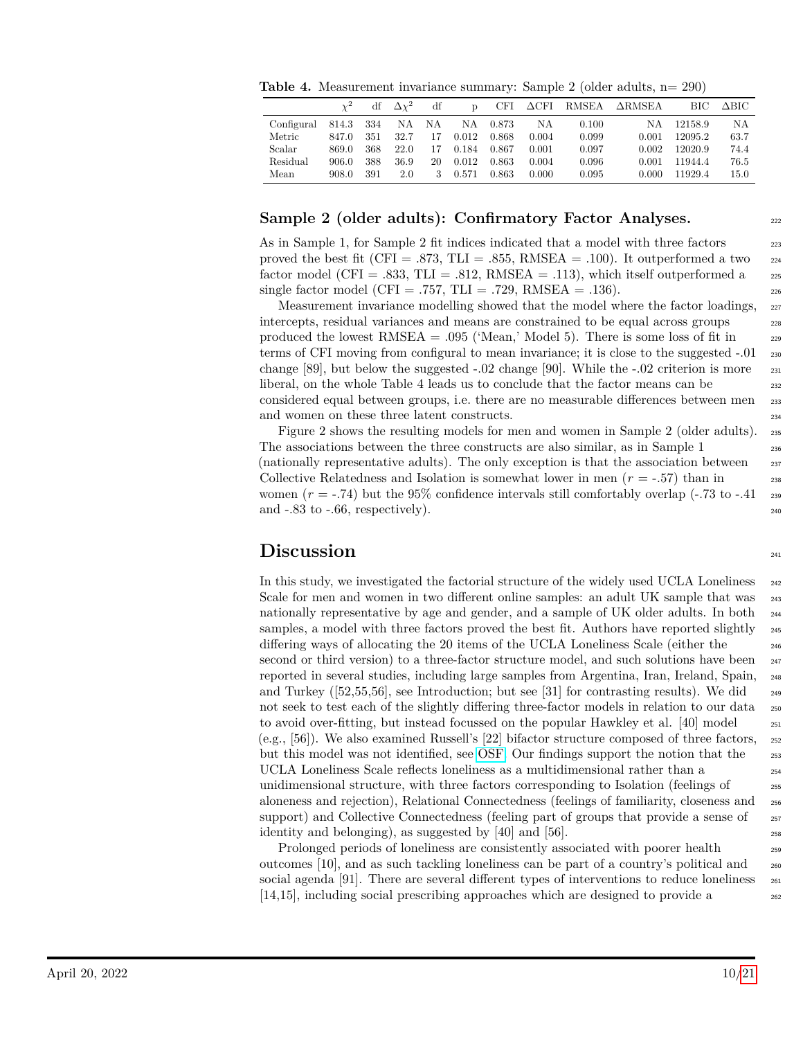**Table 4.** Measurement invariance summary: Sample 2 (older adults,  $n=290$ )

|            |       | df  | $\Delta v^2$ | df | $\mathbf{D}$ | CFI   | $\Delta\text{CFI}$ | RMSEA | $\Delta$ RMSEA | BІC     | $\Delta \text{BIC}$ |
|------------|-------|-----|--------------|----|--------------|-------|--------------------|-------|----------------|---------|---------------------|
| Configural | 814.3 | 334 | NA           | NA | NA           | 0.873 | NΑ                 | 0.100 | ΝA             | 12158.9 | NA                  |
| Metric     | 847.0 | 351 | 32.7         | 17 | 0.012        | 0.868 | 0.004              | 0.099 | 0.001          | 12095.2 | 63.7                |
| Scalar     | 869.0 | 368 | 22.0         | 17 | 0.184        | 0.867 | 0.001              | 0.097 | 0.002          | 12020.9 | 74.4                |
| Residual   | 906.0 | 388 | 36.9         | 20 | 0.012        | 0.863 | 0.004              | 0.096 | 0.001          | 11944.4 | 76.5                |
| Mean       | 908.0 | 391 | 2.0          | 3  | 0.571        | 0.863 | 0.000              | 0.095 | 0.000          | 11929.4 | 15.0                |

#### **Sample 2 (older adults): Confirmatory Factor Analyses.** 222

As in Sample 1, for Sample 2 fit indices indicated that a model with three factors 223 proved the best fit (CFI = .873, TLI = .855, RMSEA = .100). It outperformed a two  $_{224}$ factor model (CFI = .833, TLI = .812, RMSEA = .113), which itself outperformed a  $_{225}$ single factor model (CFI = .757, TLI = .729, RMSEA = .136).

Measurement invariance modelling showed that the model where the factor loadings,  $_{227}$ intercepts, residual variances and means are constrained to be equal across groups 228 produced the lowest  $RMSEA = .095$  ('Mean,' Model 5). There is some loss of fit in  $229$ terms of CFI moving from configural to mean invariance; it is close to the suggested -.01  $_{230}$ change  $[89]$ , but below the suggested  $-0.02$  change  $[90]$ . While the  $-0.02$  criterion is more  $\frac{231}{2}$ liberal, on the whole Table 4 leads us to conclude that the factor means can be  $_{232}$ considered equal between groups, i.e. there are no measurable differences between men  $_{233}$ and women on these three latent constructs. 234

Figure 2 shows the resulting models for men and women in Sample 2 (older adults). <sup>235</sup> The associations between the three constructs are also similar, as in Sample 1 236 (nationally representative adults). The only exception is that the association between <sup>237</sup> Collective Relatedness and Isolation is somewhat lower in men  $(r = .57)$  than in women  $(r = -74)$  but the 95% confidence intervals still comfortably overlap  $(-.73 \text{ to } -.41)$ and  $-83$  to  $-66$ , respectively).

# **Discussion** <sup>241</sup>

In this study, we investigated the factorial structure of the widely used UCLA Loneliness  $_{242}$ Scale for men and women in two different online samples: an adult UK sample that was  $_{243}$ nationally representative by age and gender, and a sample of UK older adults. In both <sup>244</sup> samples, a model with three factors proved the best fit. Authors have reported slightly <sub>245</sub> differing ways of allocating the 20 items of the UCLA Loneliness Scale (either the <sup>246</sup> second or third version) to a three-factor structure model, and such solutions have been  $_{247}$ reported in several studies, including large samples from Argentina, Iran, Ireland, Spain, <sup>248</sup> and Turkey ( $[52,55,56]$ , see Introduction; but see [31] for contrasting results). We did  $\frac{249}{2}$ not seek to test each of the slightly differing three-factor models in relation to our data  $_{250}$ to avoid over-fitting, but instead focussed on the popular Hawkley et al. [40] model  $_{251}$ (e.g., [56]). We also examined Russell's [22] bifactor structure composed of three factors, <sup>252</sup> but this model was not identified, see [OSF.](https://osf.io/3puht/) Our findings support the notion that the 253 UCLA Loneliness Scale reflects loneliness as a multidimensional rather than a 254 unidimensional structure, with three factors corresponding to Isolation (feelings of <sup>255</sup> aloneness and rejection), Relational Connectedness (feelings of familiarity, closeness and <sup>256</sup> support) and Collective Connectedness (feeling part of groups that provide a sense of  $\frac{257}{257}$ identity and belonging), as suggested by  $[40]$  and  $[56]$ .

Prolonged periods of loneliness are consistently associated with poorer health 259 outcomes [10], and as such tackling loneliness can be part of a country's political and <sup>260</sup> social agenda [91]. There are several different types of interventions to reduce loneliness  $_{261}$  $[14,15]$ , including social prescribing approaches which are designed to provide a  $262$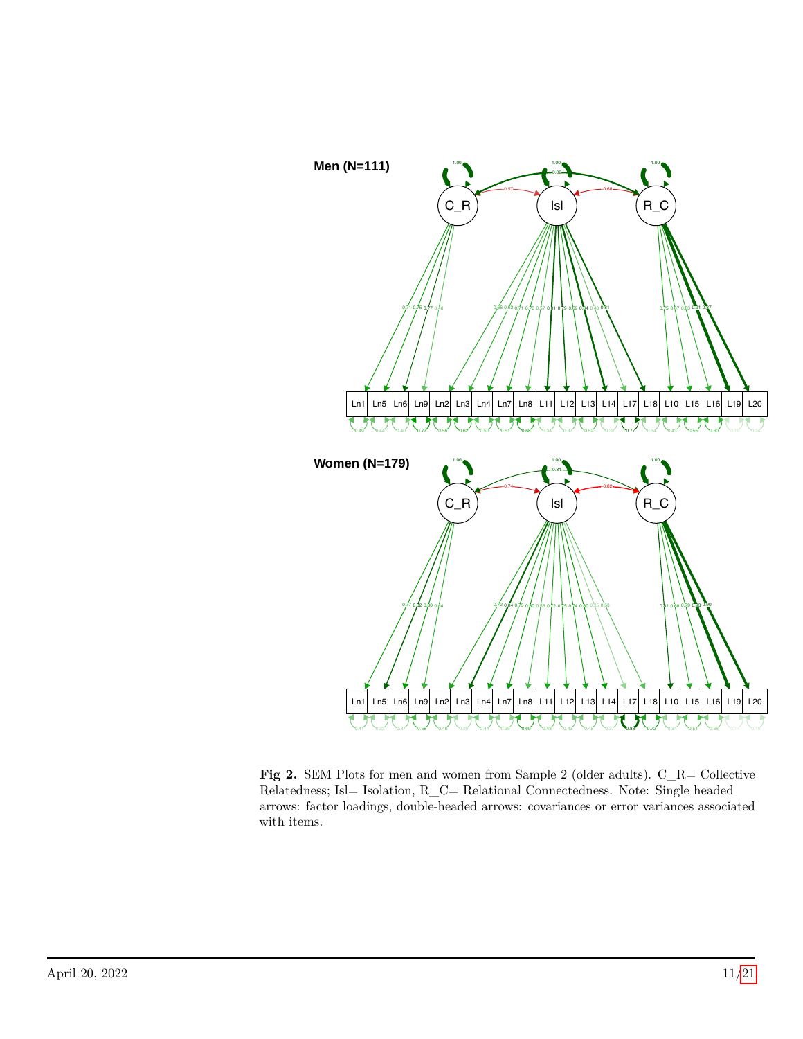

**Fig 2.** SEM Plots for men and women from Sample 2 (older adults). C\_R= Collective Relatedness; Isl= Isolation, R\_C= Relational Connectedness. Note: Single headed arrows: factor loadings, double-headed arrows: covariances or error variances associated with items.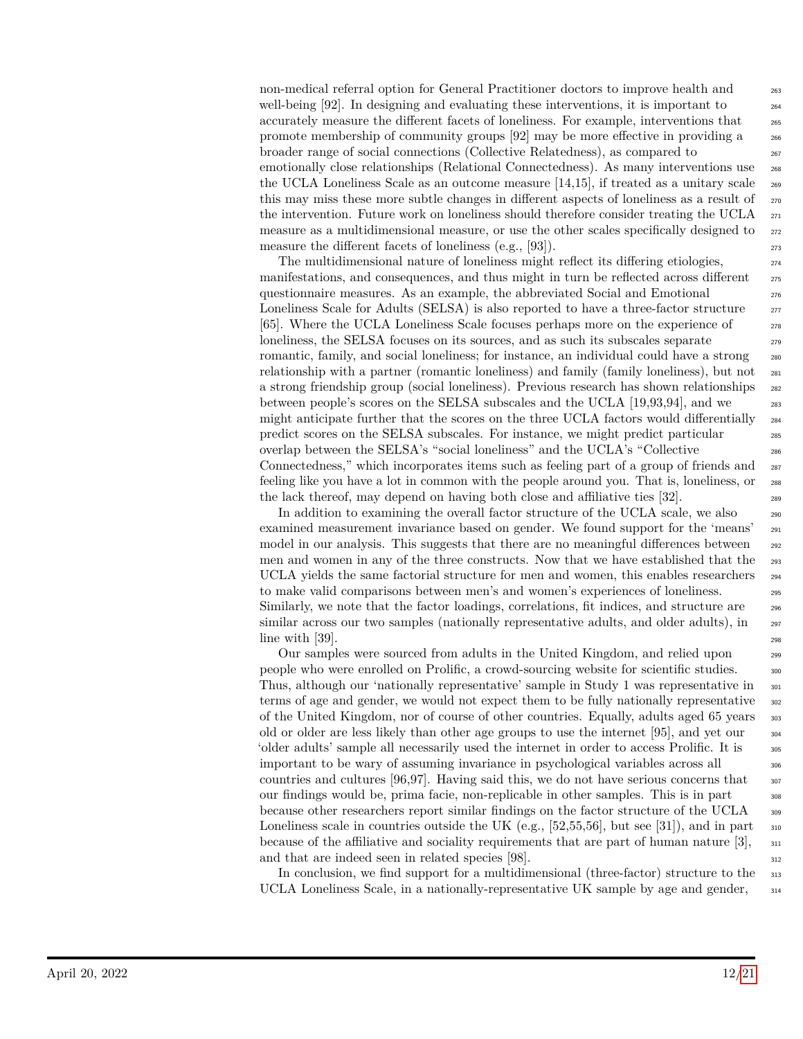non-medical referral option for General Practitioner doctors to improve health and 263 well-being  $[92]$ . In designing and evaluating these interventions, it is important to  $_{264}$ accurately measure the different facets of loneliness. For example, interventions that <sup>265</sup> promote membership of community groups [92] may be more effective in providing a <sup>266</sup> broader range of social connections (Collective Relatedness), as compared to <sup>267</sup> emotionally close relationships (Relational Connectedness). As many interventions use <sup>268</sup> the UCLA Loneliness Scale as an outcome measure [14,15], if treated as a unitary scale <sup>269</sup> this may miss these more subtle changes in different aspects of loneliness as a result of  $_{270}$ the intervention. Future work on loneliness should therefore consider treating the UCLA  $_{271}$ measure as a multidimensional measure, or use the other scales specifically designed to  $272$ measure the different facets of loneliness (e.g.,  $[93]$ ).

The multidimensional nature of loneliness might reflect its differing etiologies, manifestations, and consequences, and thus might in turn be reflected across different  $\frac{275}{275}$ questionnaire measures. As an example, the abbreviated Social and Emotional 276 Loneliness Scale for Adults (SELSA) is also reported to have a three-factor structure  $\frac{277}{277}$ [65]. Where the UCLA Loneliness Scale focuses perhaps more on the experience of <sup>278</sup> loneliness, the SELSA focuses on its sources, and as such its subscales separate 279 romantic, family, and social loneliness; for instance, an individual could have a strong  $_{280}$ relationship with a partner (romantic loneliness) and family (family loneliness), but not <sup>281</sup> a strong friendship group (social loneliness). Previous research has shown relationships  $_{282}$ between people's scores on the SELSA subscales and the UCLA [19,93,94], and we 283 might anticipate further that the scores on the three UCLA factors would differentially  $_{284}$ predict scores on the SELSA subscales. For instance, we might predict particular 285 overlap between the SELSA's "social loneliness" and the UCLA's "Collective <sup>286</sup> Connectedness," which incorporates items such as feeling part of a group of friends and <sub>287</sub> feeling like you have a lot in common with the people around you. That is, loneliness, or <sup>288</sup> the lack thereof, may depend on having both close and affiliative ties [32].

In addition to examining the overall factor structure of the UCLA scale, we also  $_{290}$ examined measurement invariance based on gender. We found support for the 'means' <sup>291</sup> model in our analysis. This suggests that there are no meaningful differences between <sub>292</sub> men and women in any of the three constructs. Now that we have established that the 293 UCLA yields the same factorial structure for men and women, this enables researchers  $_{294}$ to make valid comparisons between men's and women's experiences of loneliness. <sup>295</sup> Similarly, we note that the factor loadings, correlations, fit indices, and structure are  $_{296}$ similar across our two samples (nationally representative adults, and older adults), in <sub>297</sub>  $\lim_{298}$  with [39].

Our samples were sourced from adults in the United Kingdom, and relied upon <sup>299</sup> people who were enrolled on Prolific, a crowd-sourcing website for scientific studies. 300 Thus, although our 'nationally representative' sample in Study 1 was representative in <sup>301</sup> terms of age and gender, we would not expect them to be fully nationally representative  $\frac{302}{20}$ of the United Kingdom, nor of course of other countries. Equally, adults aged 65 years <sup>303</sup> old or older are less likely than other age groups to use the internet [95], and yet our  $\frac{304}{4}$ 'older adults' sample all necessarily used the internet in order to access Prolific. It is <sup>305</sup> important to be wary of assuming invariance in psychological variables across all <sup>306</sup> countries and cultures  $[96,97]$ . Having said this, we do not have serious concerns that  $\frac{307}{207}$ our findings would be, prima facie, non-replicable in other samples. This is in part <sup>308</sup> because other researchers report similar findings on the factor structure of the UCLA <sup>309</sup> Loneliness scale in countries outside the UK (e.g., [52,55,56], but see [31]), and in part  $\frac{1}{310}$ because of the affiliative and sociality requirements that are part of human nature  $[3]$ ,  $\frac{311}{2}$ and that are indeed seen in related species [98].  $312$ 

In conclusion, we find support for a multidimensional (three-factor) structure to the 313 UCLA Loneliness Scale, in a nationally-representative UK sample by age and gender,  $_{314}$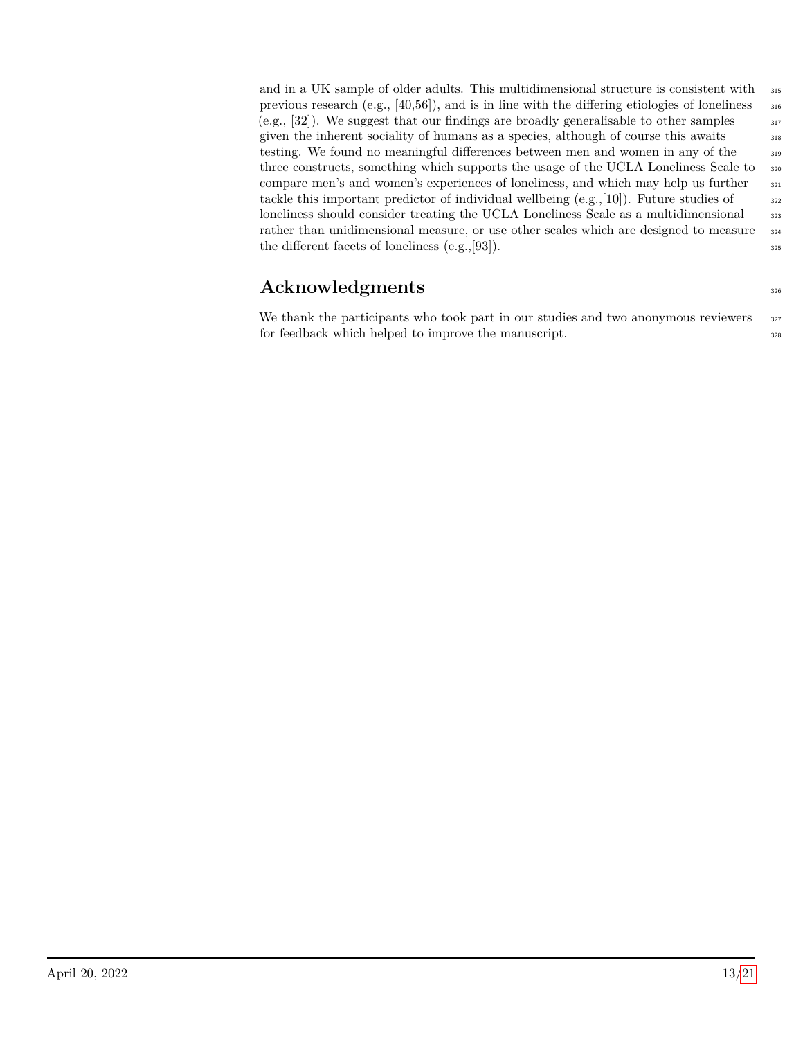and in a UK sample of older adults. This multidimensional structure is consistent with 315 previous research  $(e.g., [40,56])$ , and is in line with the differing etiologies of loneliness  $\frac{316}{2}$  $(e.g., [32])$ . We suggest that our findings are broadly generalisable to other samples  $\overline{317}$ given the inherent sociality of humans as a species, although of course this awaits  $\frac{318}{318}$ testing. We found no meaningful differences between men and women in any of the <sup>319</sup> three constructs, something which supports the usage of the UCLA Loneliness Scale to <sup>320</sup> compare men's and women's experiences of loneliness, and which may help us further  $\frac{321}{221}$ tackle this important predictor of individual wellbeing  $(e.g., [10])$ . Future studies of  $\overline{322}$ loneliness should consider treating the UCLA Loneliness Scale as a multidimensional  $\frac{323}{223}$ rather than unidimensional measure, or use other scales which are designed to measure  $324$ the different facets of loneliness  $(e.g., [93])$ .

# **Acknowledgments** 326

We thank the participants who took part in our studies and two anonymous reviewers 327 for feedback which helped to improve the manuscript.  $\frac{328}{20}$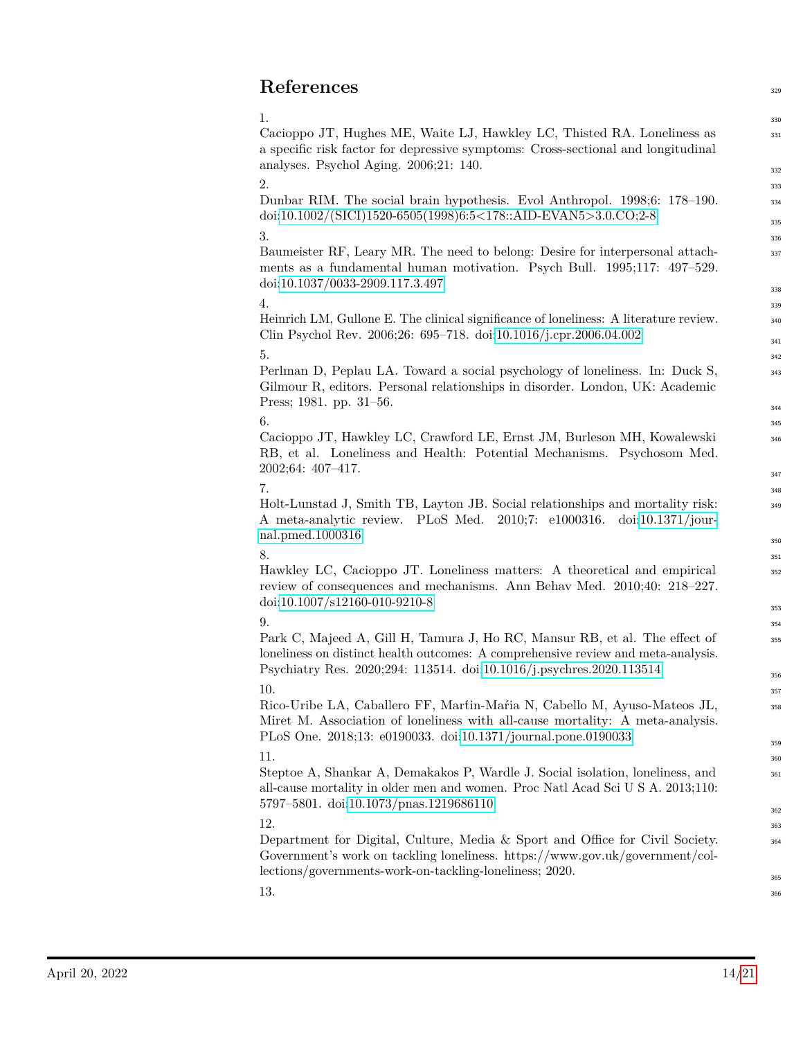# **References** <sup>329</sup>

 $1.$  330 Cacioppo JT, Hughes ME, Waite LJ, Hawkley LC, Thisted RA. Loneliness as a specific risk factor for depressive symptoms: Cross-sectional and longitudinal analyses. Psychol Aging. 2006;21: 140.

 $2.$  333 Dunbar RIM. The social brain hypothesis. Evol Anthropol. 1998;6: 178–190. doi[:10.1002/\(SICI\)1520-6505\(1998\)6:5<178::AID-EVAN5>3.0.CO;2-8](https://doi.org/10.1002/(SICI)1520-6505(1998)6:5%3C178::AID-EVAN5%3E3.0.CO;2-8)

#### $3.3$

Baumeister RF, Leary MR. The need to belong: Desire for interpersonal attachments as a fundamental human motivation. Psych Bull. 1995;117: 497–529. doi[:10.1037/0033-2909.117.3.497](https://doi.org/10.1037/0033-2909.117.3.497)

#### $4.$

Heinrich LM, Gullone E. The clinical significance of loneliness: A literature review. Clin Psychol Rev. 2006;26: 695–718. doi[:10.1016/j.cpr.2006.04.002](https://doi.org/10.1016/j.cpr.2006.04.002)

### $5.$   $342$

Perlman D, Peplau LA. Toward a social psychology of loneliness. In: Duck S, Gilmour R, editors. Personal relationships in disorder. London, UK: Academic Press; 1981. pp. 31–56.

#### $\sim$  345

Cacioppo JT, Hawkley LC, Crawford LE, Ernst JM, Burleson MH, Kowalewski RB, et al. Loneliness and Health: Potential Mechanisms. Psychosom Med. 2002;64: 407–417.

#### $7.$

Holt-Lunstad J, Smith TB, Layton JB. Social relationships and mortality risk: A meta-analytic review. PLoS Med. 2010;7: e1000316. doi[:10.1371/jour](https://doi.org/10.1371/journal.pmed.1000316)[nal.pmed.1000316](https://doi.org/10.1371/journal.pmed.1000316)

#### $8.$  351

Hawkley LC, Cacioppo JT. Loneliness matters: A theoretical and empirical review of consequences and mechanisms. Ann Behav Med. 2010;40: 218–227. doi[:10.1007/s12160-010-9210-8](https://doi.org/10.1007/s12160-010-9210-8)

### $9.$   $3^{54}$

Park C, Majeed A, Gill H, Tamura J, Ho RC, Mansur RB, et al. The effect of loneliness on distinct health outcomes: A comprehensive review and meta-analysis. Psychiatry Res. 2020;294: 113514. doi[:10.1016/j.psychres.2020.113514](https://doi.org/10.1016/j.psychres.2020.113514)

### $10.$   $357$

Rico-Uribe LA, Caballero FF, Mart́in-Maŕia N, Cabello M, Ayuso-Mateos JL, Miret M. Association of loneliness with all-cause mortality: A meta-analysis. PLoS One. 2018;13: e0190033. doi[:10.1371/journal.pone.0190033](https://doi.org/10.1371/journal.pone.0190033)

### $11.$   $360$

Steptoe A, Shankar A, Demakakos P, Wardle J. Social isolation, loneliness, and all-cause mortality in older men and women. Proc Natl Acad Sci U S A. 2013;110: 5797–5801. doi[:10.1073/pnas.1219686110](https://doi.org/10.1073/pnas.1219686110)

### $12.$   $363$

Department for Digital, Culture, Media & Sport and Office for Civil Society. Government's work on tackling loneliness. https://www.gov.uk/government/collections/governments-work-on-tackling-loneliness; 2020.

 $13.$   $366$ 

331

332

334 335

337

338

340 341

343

344

346

347

349

350

352

353

355

356

358

359

361

362

364

365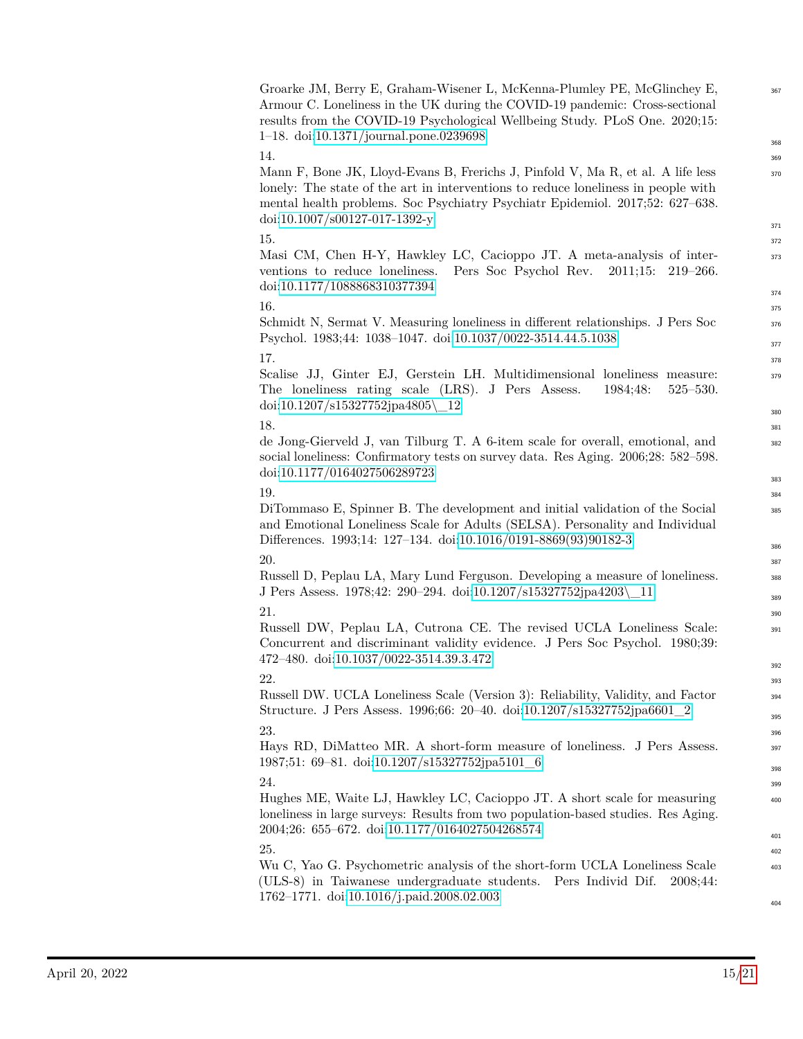| Groarke JM, Berry E, Graham-Wisener L, McKenna-Plumley PE, McGlinchey E,<br>Armour C. Loneliness in the UK during the COVID-19 pandemic: Cross-sectional<br>results from the COVID-19 Psychological Wellbeing Study. PLoS One. 2020;15:<br>1–18. doi:10.1371/journal.pone.0239698                             | 367<br>368 |
|---------------------------------------------------------------------------------------------------------------------------------------------------------------------------------------------------------------------------------------------------------------------------------------------------------------|------------|
| 14.                                                                                                                                                                                                                                                                                                           | 369        |
| Mann F, Bone JK, Lloyd-Evans B, Frerichs J, Pinfold V, Ma R, et al. A life less<br>lonely: The state of the art in interventions to reduce loneliness in people with<br>mental health problems. Soc Psychiatry Psychiatr Epidemiol. 2017;52: 627–638.<br>$\frac{\text{doi:10.1007}}{\text{sol27-017-1392-y}}$ | 370        |
|                                                                                                                                                                                                                                                                                                               | 371        |
| 15.                                                                                                                                                                                                                                                                                                           | 372        |
| Masi CM, Chen H-Y, Hawkley LC, Cacioppo JT. A meta-analysis of inter-<br>Pers Soc Psychol Rev.<br>ventions to reduce loneliness.<br>2011;15:<br>$219 - 266.$<br>doi:10.1177/1088868310377394                                                                                                                  | 373<br>374 |
| 16.                                                                                                                                                                                                                                                                                                           |            |
|                                                                                                                                                                                                                                                                                                               | 375        |
| Schmidt N, Sermat V. Measuring loneliness in different relationships. J Pers Soc<br>Psychol. 1983;44: 1038-1047. doi:10.1037/0022-3514.44.5.1038                                                                                                                                                              | 376        |
|                                                                                                                                                                                                                                                                                                               | 377        |
| 17.                                                                                                                                                                                                                                                                                                           | 378        |
| Scalise JJ, Ginter EJ, Gerstein LH. Multidimensional loneliness measure:<br>The loneliness rating scale (LRS). J Pers Assess.<br>$525 - 530.$<br>1984;48:<br>doi:10.1207/s15327752jpa4805\_12                                                                                                                 | 379<br>380 |
| 18.                                                                                                                                                                                                                                                                                                           |            |
|                                                                                                                                                                                                                                                                                                               | 381        |
| de Jong-Gierveld J, van Tilburg T. A 6-item scale for overall, emotional, and<br>social loneliness: Confirmatory tests on survey data. Res Aging. 2006;28: 582-598.<br>doi:10.1177/0164027506289723                                                                                                           | 382        |
|                                                                                                                                                                                                                                                                                                               | 383        |
| 19.                                                                                                                                                                                                                                                                                                           | 384        |
| DiTommaso E, Spinner B. The development and initial validation of the Social<br>and Emotional Loneliness Scale for Adults (SELSA). Personality and Individual<br>Differences. 1993;14: 127-134. doi:10.1016/0191-8869(93)90182-3                                                                              | 385        |
|                                                                                                                                                                                                                                                                                                               | 386        |
| 20.                                                                                                                                                                                                                                                                                                           | 387        |
| Russell D, Peplau LA, Mary Lund Ferguson. Developing a measure of loneliness.                                                                                                                                                                                                                                 | 388        |
| J Pers Assess. 1978;42: 290-294. doi:10.1207/s15327752jpa4203\_11                                                                                                                                                                                                                                             | 389        |
| 21.                                                                                                                                                                                                                                                                                                           | 390        |
| Russell DW, Peplau LA, Cutrona CE. The revised UCLA Loneliness Scale:<br>Concurrent and discriminant validity evidence. J Pers Soc Psychol. 1980;39:<br>472-480. doi:10.1037/0022-3514.39.3.472                                                                                                               | 391        |
|                                                                                                                                                                                                                                                                                                               | 392        |
| 22.                                                                                                                                                                                                                                                                                                           | 393        |
| Russell DW. UCLA Loneliness Scale (Version 3): Reliability, Validity, and Factor                                                                                                                                                                                                                              | 394        |
| Structure. J Pers Assess. 1996;66: 20-40. doi:10.1207/s15327752jpa6601_2                                                                                                                                                                                                                                      |            |
| 23.                                                                                                                                                                                                                                                                                                           | 395        |
|                                                                                                                                                                                                                                                                                                               | 396        |
| Hays RD, DiMatteo MR. A short-form measure of loneliness. J Pers Assess.<br>1987;51: 69-81. doi:10.1207/s15327752jpa5101_6                                                                                                                                                                                    | 397        |
|                                                                                                                                                                                                                                                                                                               | 398        |
| 24.                                                                                                                                                                                                                                                                                                           | 399        |
| Hughes ME, Waite LJ, Hawkley LC, Cacioppo JT. A short scale for measuring<br>loneliness in large surveys: Results from two population-based studies. Res Aging.<br>2004;26: 655-672. doi:10.1177/0164027504268574                                                                                             | 400        |
|                                                                                                                                                                                                                                                                                                               | 401        |
| 25.                                                                                                                                                                                                                                                                                                           | 402        |
| Wu C, Yao G. Psychometric analysis of the short-form UCLA Loneliness Scale<br>(ULS-8) in Taiwanese undergraduate students. Pers Individ Dif.<br>2008;44:                                                                                                                                                      | 403        |
| 1762-1771. doi:10.1016/j.paid.2008.02.003                                                                                                                                                                                                                                                                     | 404        |
|                                                                                                                                                                                                                                                                                                               |            |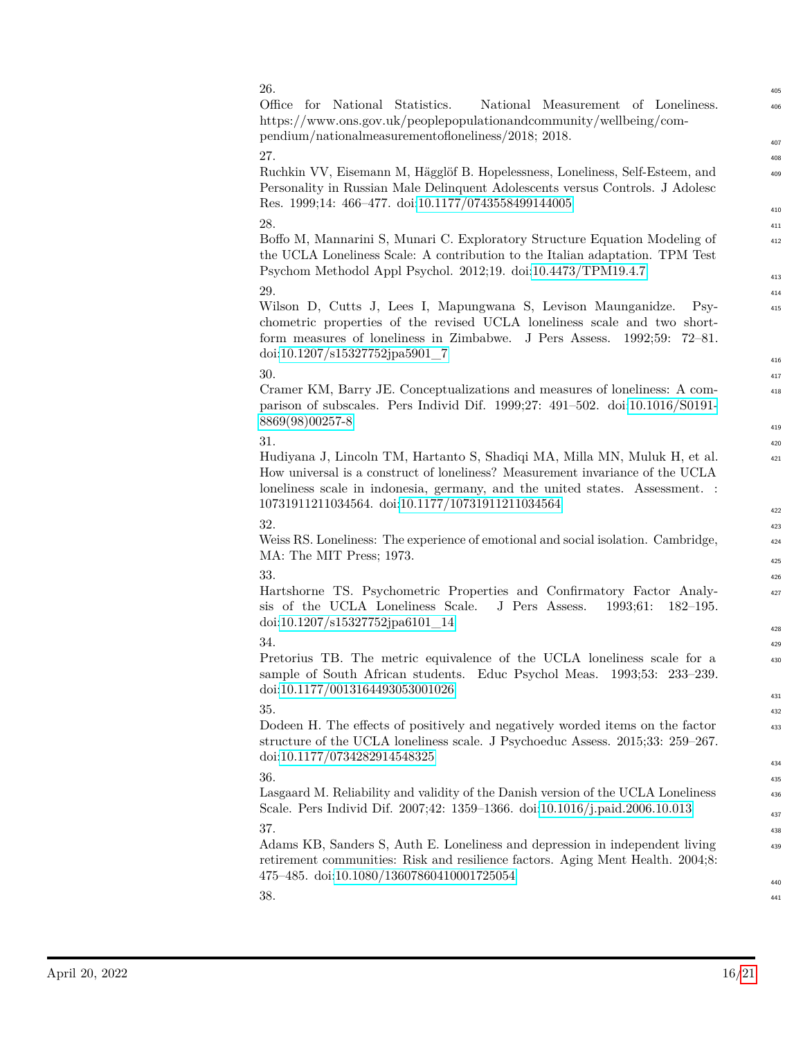| 26.<br>Office<br>for National Statistics.<br>National Measurement of Loneliness.<br>https://www.ons.gov.uk/peoplepopulationandcommunity/wellbeing/com-<br>pendium/nationalmeasurementofloneliness/2018; 2018.                                                                                          | 405<br>406               |
|--------------------------------------------------------------------------------------------------------------------------------------------------------------------------------------------------------------------------------------------------------------------------------------------------------|--------------------------|
| 27.<br>Ruchkin VV, Eisemann M, Hägglöf B. Hopelessness, Loneliness, Self-Esteem, and<br>Personality in Russian Male Delinquent Adolescents versus Controls. J Adolesc<br>Res. 1999;14: 466-477. doi:10.1177/0743558499144005                                                                           | 407<br>408<br>409<br>410 |
| 28.<br>Boffo M, Mannarini S, Munari C. Exploratory Structure Equation Modeling of<br>the UCLA Loneliness Scale: A contribution to the Italian adaptation. TPM Test<br>Psychom Methodol Appl Psychol. 2012;19. doi:10.4473/TPM19.4.7                                                                    | 411<br>412<br>413        |
| 29.<br>Wilson D, Cutts J, Lees I, Mapungwana S, Levison Maunganidze.<br>$P_{s}$<br>chometric properties of the revised UCLA loneliness scale and two short-<br>form measures of loneliness in Zimbabwe. J Pers Assess.<br>1992:59:<br>72–81.<br>doi:10.1207/s15327752jpa5901_7                         | 414<br>415<br>416        |
| 30.<br>Cramer KM, Barry JE. Conceptualizations and measures of loneliness: A com-<br>parison of subscales. Pers Individ Dif. 1999;27: 491-502. doi:10.1016/S0191-<br>8869(98)00257-8                                                                                                                   | 417<br>418<br>419        |
| 31.<br>Hudiyana J, Lincoln TM, Hartanto S, Shadiqi MA, Milla MN, Muluk H, et al.<br>How universal is a construct of loneliness? Measurement invariance of the UCLA<br>loneliness scale in indonesia, germany, and the united states. Assessment. :<br>10731911211034564. doi:10.1177/10731911211034564 | 420<br>421<br>422        |
| 32.<br>Weiss RS. Loneliness: The experience of emotional and social isolation. Cambridge,<br>MA: The MIT Press; 1973.                                                                                                                                                                                  | 423<br>424<br>425        |
| 33.<br>Hartshorne TS. Psychometric Properties and Confirmatory Factor Analy-<br>sis of the UCLA Loneliness Scale.<br>J Pers Assess.<br>1993;61:<br>$182 - 195.$<br>doi:10.1207/s15327752jpa6101_14                                                                                                     | 426<br>427<br>428        |
| 34.<br>Pretorius TB. The metric equivalence of the UCLA loneliness scale for a<br>sample of South African students. Educ Psychol Meas. 1993;53: 233-239.<br>doi:10.1177/0013164493053001026                                                                                                            | 429<br>430<br>431        |
| 35.<br>Dodeen H. The effects of positively and negatively worded items on the factor<br>structure of the UCLA loneliness scale. J Psychoeduc Assess. 2015;33: 259–267.<br>doi:10.1177/0734282914548325                                                                                                 | 432<br>433<br>434        |
| 36.<br>Lasgaard M. Reliability and validity of the Danish version of the UCLA Loneliness<br>Scale. Pers Individ Dif. 2007;42: 1359-1366. doi:10.1016/j.paid.2006.10.013                                                                                                                                | 435<br>436<br>437        |
| 37.<br>Adams KB, Sanders S, Auth E. Loneliness and depression in independent living<br>retirement communities: Risk and resilience factors. Aging Ment Health. 2004;8:<br>475–485. doi:10.1080/13607860410001725054                                                                                    | 438<br>439               |
| 38.                                                                                                                                                                                                                                                                                                    | 440<br>441               |

406

407

409

410

412

413

415

416

418

419

421

422

424 425

427

428

430

431

433

434

436 437

439

440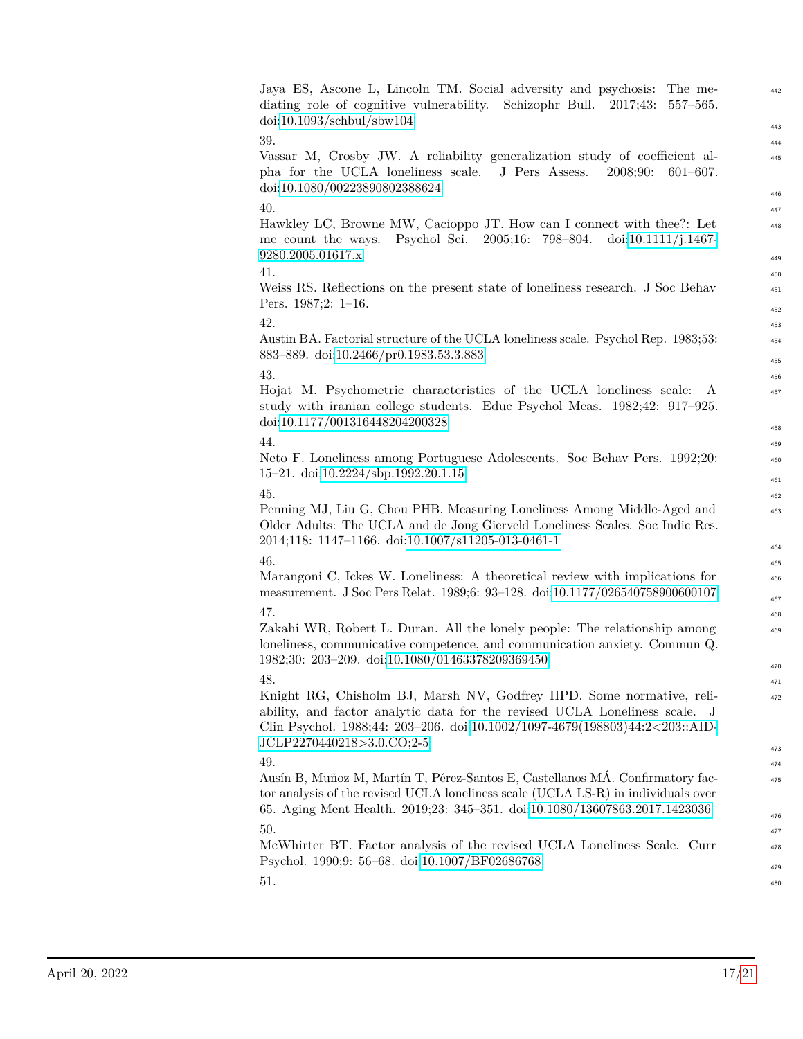| $\frac{\text{doi:10.1093}}{\text{schbul}}{\text{sbw104}}$                                                                                                                                                                                                      |  |
|----------------------------------------------------------------------------------------------------------------------------------------------------------------------------------------------------------------------------------------------------------------|--|
| 39.                                                                                                                                                                                                                                                            |  |
| Vassar M, Crosby JW. A reliability generalization study of coefficient al-<br>pha for the UCLA loneliness scale.<br>J Pers Assess.<br>2008;90:<br>$601 - 607.$<br>doi:10.1080/00223890802388624                                                                |  |
| 40.                                                                                                                                                                                                                                                            |  |
| Hawkley LC, Browne MW, Cacioppo JT. How can I connect with thee?: Let<br>Psychol Sci. 2005;16: 798-804. doi:10.1111/j.1467-<br>me count the ways.                                                                                                              |  |
| 9280.2005.01617.x                                                                                                                                                                                                                                              |  |
| 41.                                                                                                                                                                                                                                                            |  |
| Weiss RS. Reflections on the present state of loneliness research. J Soc Behav<br>Pers. $1987;2: 1-16$ .                                                                                                                                                       |  |
| 42.                                                                                                                                                                                                                                                            |  |
| Austin BA. Factorial structure of the UCLA loneliness scale. Psychol Rep. 1983;53:<br>883-889. doi:10.2466/pr0.1983.53.3.883                                                                                                                                   |  |
| 43.                                                                                                                                                                                                                                                            |  |
| Hojat M. Psychometric characteristics of the UCLA loneliness scale:<br>A<br>study with iranian college students. Educ Psychol Meas. 1982;42: 917-925.<br>doi:10.1177/001316448204200328                                                                        |  |
| 44.                                                                                                                                                                                                                                                            |  |
| Neto F. Loneliness among Portuguese Adolescents. Soc Behav Pers. 1992;20:<br>15-21. doi:10.2224/sbp.1992.20.1.15                                                                                                                                               |  |
| 45.                                                                                                                                                                                                                                                            |  |
| Penning MJ, Liu G, Chou PHB. Measuring Loneliness Among Middle-Aged and<br>Older Adults: The UCLA and de Jong Gierveld Loneliness Scales. Soc Indic Res.<br>2014;118: 1147-1166. doi:10.1007/s11205-013-0461-1                                                 |  |
| 46.                                                                                                                                                                                                                                                            |  |
| Marangoni C, Ickes W. Loneliness: A theoretical review with implications for<br>measurement. J Soc Pers Relat. 1989;6: 93-128. doi:10.1177/026540758900600107                                                                                                  |  |
| 47.                                                                                                                                                                                                                                                            |  |
| Zakahi WR, Robert L. Duran. All the lonely people: The relationship among<br>loneliness, communicative competence, and communication anxiety. Commun Q.<br>1982;30: 203-209. doi:10.1080/01463378209369450                                                     |  |
|                                                                                                                                                                                                                                                                |  |
| 48.                                                                                                                                                                                                                                                            |  |
| Knight RG, Chisholm BJ, Marsh NV, Godfrey HPD. Some normative, reli-<br>ability, and factor analytic data for the revised UCLA Loneliness scale. J<br>Clin Psychol. 1988;44: 203-206. doi:10.1002/1097-4679(198803)44:2<203::AID-<br>JCLP2270440218>3.0.CO;2-5 |  |
|                                                                                                                                                                                                                                                                |  |
| 49.<br>Ausín B, Muñoz M, Martín T, Pérez-Santos E, Castellanos MÁ. Confirmatory fac-                                                                                                                                                                           |  |
| tor analysis of the revised UCLA loneliness scale (UCLA LS-R) in individuals over<br>65. Aging Ment Health. 2019;23: 345-351. doi:10.1080/13607863.2017.1423036                                                                                                |  |
| 50.                                                                                                                                                                                                                                                            |  |
| McWhirter BT. Factor analysis of the revised UCLA Loneliness Scale. Curr<br>Psychol. 1990;9: 56-68. doi:10.1007/BF02686768                                                                                                                                     |  |
| 51.                                                                                                                                                                                                                                                            |  |
|                                                                                                                                                                                                                                                                |  |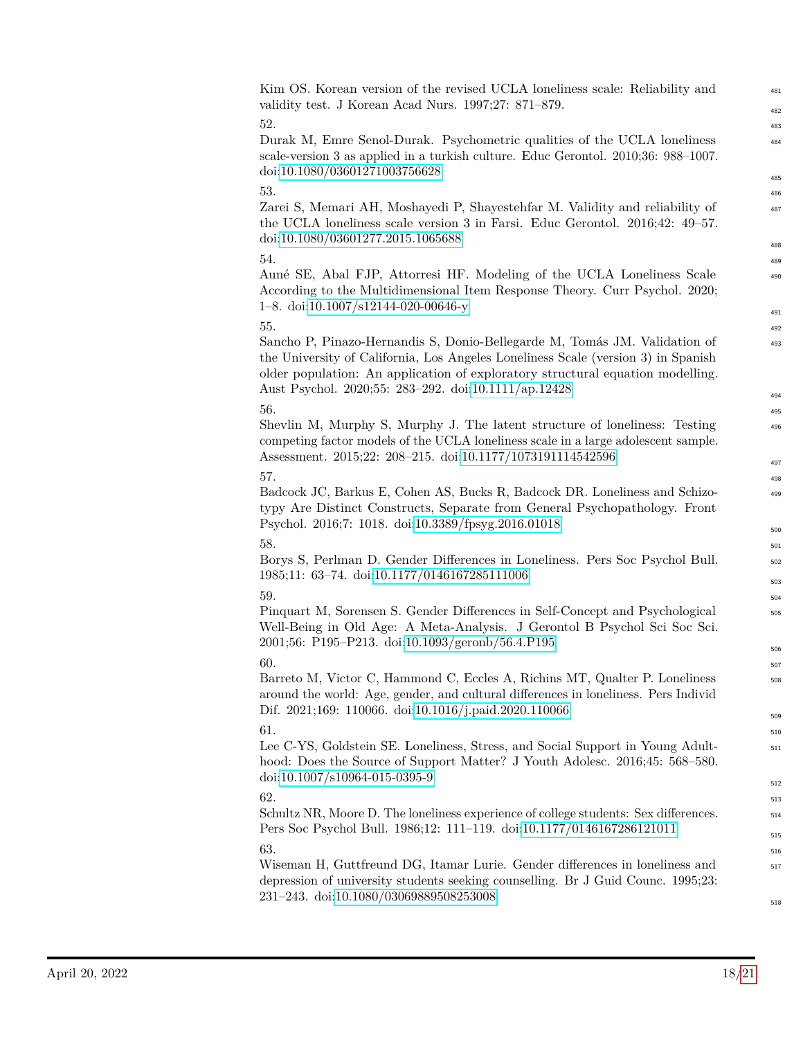### Kim OS. Korean version of the revised UCLA loneliness scale: Reliability and validity test. J Korean Acad Nurs. 1997;27: 871–879.

Durak M, Emre Senol-Durak. Psychometric qualities of the UCLA loneliness scale-version 3 as applied in a turkish culture. Educ Gerontol. 2010;36: 988–1007. doi[:10.1080/03601271003756628](https://doi.org/10.1080/03601271003756628)

Zarei S, Memari AH, Moshayedi P, Shayestehfar M. Validity and reliability of the UCLA loneliness scale version 3 in Farsi. Educ Gerontol. 2016;42: 49–57. doi[:10.1080/03601277.2015.1065688](https://doi.org/10.1080/03601277.2015.1065688)

Auné SE, Abal FJP, Attorresi HF. Modeling of the UCLA Loneliness Scale According to the Multidimensional Item Response Theory. Curr Psychol. 2020; 1–8. doi[:10.1007/s12144-020-00646-y](https://doi.org/10.1007/s12144-020-00646-y)

Sancho P, Pinazo-Hernandis S, Donio-Bellegarde M, Tomás JM. Validation of the University of California, Los Angeles Loneliness Scale (version 3) in Spanish older population: An application of exploratory structural equation modelling. Aust Psychol. 2020;55: 283–292. doi[:10.1111/ap.12428](https://doi.org/10.1111/ap.12428)

Shevlin M, Murphy S, Murphy J. The latent structure of loneliness: Testing competing factor models of the UCLA loneliness scale in a large adolescent sample. Assessment. 2015;22: 208–215. doi[:10.1177/1073191114542596](https://doi.org/10.1177/1073191114542596)

### $57.$

Badcock JC, Barkus E, Cohen AS, Bucks R, Badcock DR. Loneliness and Schizotypy Are Distinct Constructs, Separate from General Psychopathology. Front Psychol. 2016;7: 1018. doi[:10.3389/fpsyg.2016.01018](https://doi.org/10.3389/fpsyg.2016.01018)

Borys S, Perlman D. Gender Differences in Loneliness. Pers Soc Psychol Bull. 1985;11: 63–74. doi[:10.1177/0146167285111006](https://doi.org/10.1177/0146167285111006)

Pinquart M, Sorensen S. Gender Differences in Self-Concept and Psychological Well-Being in Old Age: A Meta-Analysis. J Gerontol B Psychol Sci Soc Sci. 2001;56: P195–P213. doi[:10.1093/geronb/56.4.P195](https://doi.org/10.1093/geronb/56.4.P195)

Barreto M, Victor C, Hammond C, Eccles A, Richins MT, Qualter P. Loneliness around the world: Age, gender, and cultural differences in loneliness. Pers Individ Dif. 2021;169: 110066. doi[:10.1016/j.paid.2020.110066](https://doi.org/10.1016/j.paid.2020.110066)

Lee C-YS, Goldstein SE. Loneliness, Stress, and Social Support in Young Adulthood: Does the Source of Support Matter? J Youth Adolesc. 2016;45: 568–580. doi[:10.1007/s10964-015-0395-9](https://doi.org/10.1007/s10964-015-0395-9)

Schultz NR, Moore D. The loneliness experience of college students: Sex differences. Pers Soc Psychol Bull. 1986;12: 111–119. doi[:10.1177/0146167286121011](https://doi.org/10.1177/0146167286121011)  $63.$ 

Wiseman H, Guttfreund DG, Itamar Lurie. Gender differences in loneliness and depression of university students seeking counselling. Br J Guid Counc. 1995;23: 231–243. doi[:10.1080/03069889508253008](https://doi.org/10.1080/03069889508253008)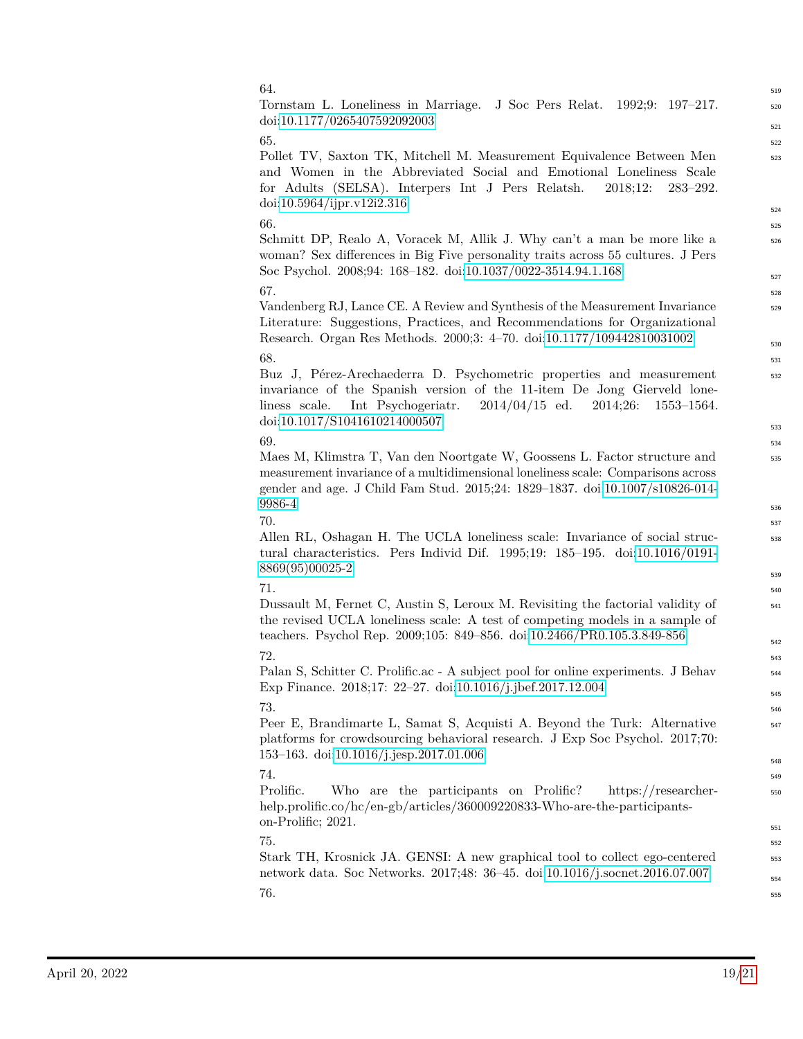| 64.                                                                                                                                                                                                                                                                       | 519        |
|---------------------------------------------------------------------------------------------------------------------------------------------------------------------------------------------------------------------------------------------------------------------------|------------|
| Tornstam L. Loneliness in Marriage. J Soc Pers Relat.<br>$1992;9: 197-217.$<br>doi:10.1177/0265407592092003                                                                                                                                                               | 520<br>521 |
| 65.                                                                                                                                                                                                                                                                       | 522        |
| Pollet TV, Saxton TK, Mitchell M. Measurement Equivalence Between Men<br>and Women in the Abbreviated Social and Emotional Loneliness Scale<br>for Adults (SELSA). Interpers Int J Pers Relatsh.<br>2018;12:<br>$283 - 292.$<br>doi:10.5964/ijpr.v12i2.316                | 523        |
|                                                                                                                                                                                                                                                                           | 524        |
| 66.                                                                                                                                                                                                                                                                       | 525        |
| Schmitt DP, Realo A, Voracek M, Allik J. Why can't a man be more like a<br>woman? Sex differences in Big Five personality traits across 55 cultures. J Pers<br>Soc Psychol. 2008;94: 168-182. doi:10.1037/0022-3514.94.1.168                                              | 526        |
| 67.                                                                                                                                                                                                                                                                       | 527        |
| Vandenberg RJ, Lance CE. A Review and Synthesis of the Measurement Invariance                                                                                                                                                                                             | 528        |
| Literature: Suggestions, Practices, and Recommendations for Organizational<br>Research. Organ Res Methods. 2000;3: 4-70. doi:10.1177/109442810031002                                                                                                                      | 529        |
| 68.                                                                                                                                                                                                                                                                       | 530        |
|                                                                                                                                                                                                                                                                           | 531        |
| Buz J, Pérez-Arechaederra D. Psychometric properties and measurement<br>invariance of the Spanish version of the 11-item De Jong Gierveld lone-<br>Int Psychogeriatr.<br>$2014/04/15$ ed.<br>2014;26:<br>liness scale.<br>$1553 - 1564.$<br>doi:10.1017/S1041610214000507 | 532        |
| 69.                                                                                                                                                                                                                                                                       | 533        |
|                                                                                                                                                                                                                                                                           | 534        |
| Maes M, Klimstra T, Van den Noortgate W, Goossens L. Factor structure and<br>measurement invariance of a multidimensional loneliness scale: Comparisons across<br>gender and age. J Child Fam Stud. 2015;24: 1829-1837. doi:10.1007/s10826-014-                           | 535        |
| 9986-4                                                                                                                                                                                                                                                                    | 536        |
| 70.                                                                                                                                                                                                                                                                       | 537        |
| Allen RL, Oshagan H. The UCLA loneliness scale: Invariance of social struc-<br>tural characteristics. Pers Individ Dif. 1995;19: $185-195$ . doi:10.1016/0191-<br>8869(95)00025-2                                                                                         | 538        |
|                                                                                                                                                                                                                                                                           | 539        |
| 71.                                                                                                                                                                                                                                                                       | 540        |
| Dussault M, Fernet C, Austin S, Leroux M. Revisiting the factorial validity of<br>the revised UCLA loneliness scale: A test of competing models in a sample of<br>teachers. Psychol Rep. 2009;105: 849-856. doi:10.2466/PR0.105.3.849-856                                 | 541        |
|                                                                                                                                                                                                                                                                           | 542        |
| 72.                                                                                                                                                                                                                                                                       | 543        |
| Palan S, Schitter C. Prolific.ac - A subject pool for online experiments. J Behav<br>Exp Finance. 2018;17: 22-27. doi:10.1016/j.jbef.2017.12.004                                                                                                                          | 544        |
| 73.                                                                                                                                                                                                                                                                       | 545        |
|                                                                                                                                                                                                                                                                           | 546        |
| Peer E, Brandimarte L, Samat S, Acquisti A. Beyond the Turk: Alternative<br>platforms for crowdsourcing behavioral research. J Exp Soc Psychol. 2017;70:<br>153-163. doi:10.1016/j.jesp.2017.01.006                                                                       | 547        |
|                                                                                                                                                                                                                                                                           | 548        |
| 74.                                                                                                                                                                                                                                                                       | 549        |
| Prolific.<br>Who are the participants on Prolific?<br>https://researcher-<br>help.prolific.co/hc/en-gb/articles/360009220833-Who-are-the-participants-<br>on-Prolific; 2021.                                                                                              | 550        |
| 75.                                                                                                                                                                                                                                                                       | 551        |
| Stark TH, Krosnick JA. GENSI: A new graphical tool to collect ego-centered                                                                                                                                                                                                | 552        |
| network data. Soc Networks. 2017;48: 36-45. doi:10.1016/j.socnet.2016.07.007                                                                                                                                                                                              | 553<br>554 |
| 76.                                                                                                                                                                                                                                                                       | 555        |
|                                                                                                                                                                                                                                                                           |            |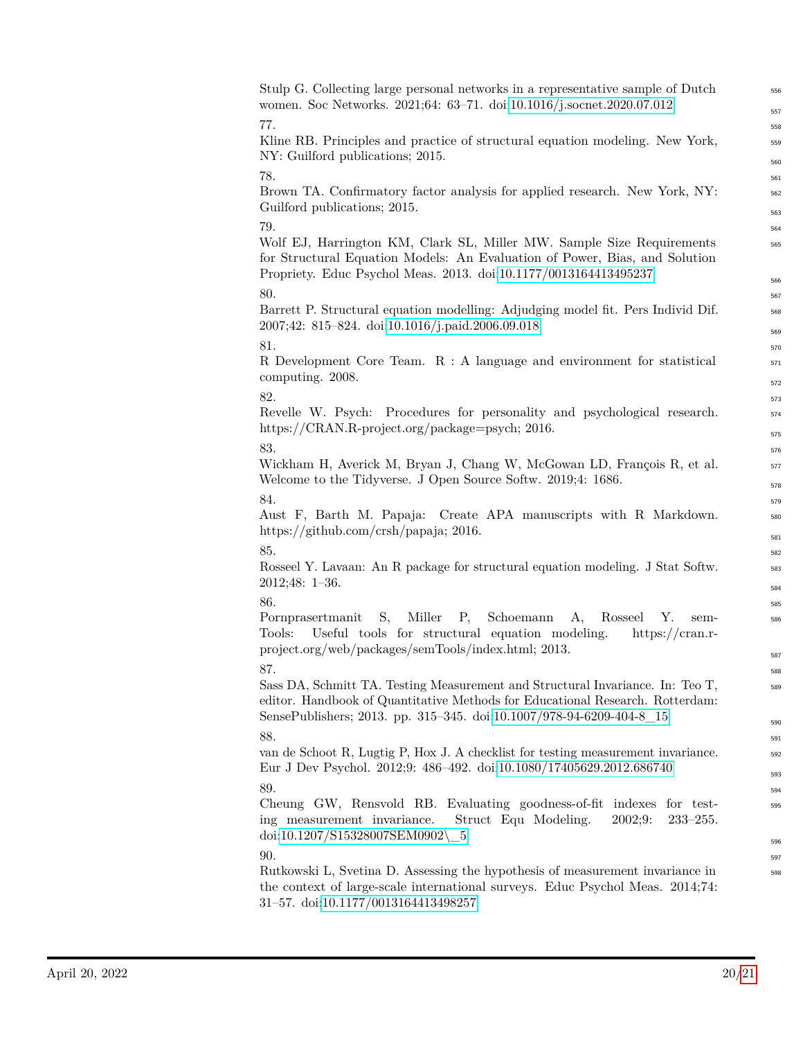| Stulp G. Collecting large personal networks in a representative sample of Dutch<br>women. Soc Networks. 2021;64: 63-71. doi:10.1016/j.socnet.2020.07.012                                                                                | 556        |
|-----------------------------------------------------------------------------------------------------------------------------------------------------------------------------------------------------------------------------------------|------------|
|                                                                                                                                                                                                                                         | 557        |
| 77.                                                                                                                                                                                                                                     | 558        |
| Kline RB. Principles and practice of structural equation modeling. New York,                                                                                                                                                            | 559        |
| NY: Guilford publications; 2015.                                                                                                                                                                                                        | 560        |
| 78.                                                                                                                                                                                                                                     | 561        |
| Brown TA. Confirmatory factor analysis for applied research. New York, NY:<br>Guilford publications; 2015.                                                                                                                              | 562<br>563 |
| 79.                                                                                                                                                                                                                                     | 564        |
| Wolf EJ, Harrington KM, Clark SL, Miller MW. Sample Size Requirements                                                                                                                                                                   | 565        |
| for Structural Equation Models: An Evaluation of Power, Bias, and Solution<br>Propriety. Educ Psychol Meas. 2013. doi:10.1177/0013164413495237                                                                                          | 566        |
| 80.                                                                                                                                                                                                                                     | 567        |
| Barrett P. Structural equation modelling: Adjudging model fit. Pers Individ Dif.                                                                                                                                                        | 568        |
| 2007;42: 815-824. doi:10.1016/j.paid.2006.09.018                                                                                                                                                                                        | 569        |
| 81.                                                                                                                                                                                                                                     | 570        |
| R Development Core Team. R : A language and environment for statistical                                                                                                                                                                 | 571        |
| computing. 2008.                                                                                                                                                                                                                        | 572        |
| 82.                                                                                                                                                                                                                                     | 573        |
| Revelle W. Psych: Procedures for personality and psychological research.                                                                                                                                                                | 574        |
| https://CRAN.R-project.org/package=psych; 2016.                                                                                                                                                                                         |            |
| 83.                                                                                                                                                                                                                                     | 575<br>576 |
| Wickham H, Averick M, Bryan J, Chang W, McGowan LD, François R, et al.                                                                                                                                                                  | 577        |
| Welcome to the Tidyverse. J Open Source Softw. 2019;4: 1686.                                                                                                                                                                            |            |
| 84.                                                                                                                                                                                                                                     | 578<br>579 |
| Aust F, Barth M. Papaja: Create APA manuscripts with R Markdown.                                                                                                                                                                        | 580        |
| https://github.com/crsh/papaja; 2016.                                                                                                                                                                                                   | 581        |
| 85.                                                                                                                                                                                                                                     | 582        |
| Rosseel Y. Lavaan: An R package for structural equation modeling. J Stat Softw.                                                                                                                                                         | 583        |
| $2012;48: 1-36.$                                                                                                                                                                                                                        | 584        |
| 86.                                                                                                                                                                                                                                     | 585        |
| S,<br>Miller<br>Schoemann<br>Pornprasertmanit<br>P,<br>A,<br>Rosseel<br>Υ.<br>sem-<br>Useful tools for structural equation modeling.<br>Tools:<br>https:// $cran.r-$                                                                    | 586        |
| project.org/web/packages/semTools/index.html; 2013.                                                                                                                                                                                     | 587        |
| 87.                                                                                                                                                                                                                                     | 588        |
| Sass DA, Schmitt TA. Testing Measurement and Structural Invariance. In: Teo T,<br>editor. Handbook of Quantitative Methods for Educational Research. Rotterdam:<br>SensePublishers; 2013. pp. 315–345. doi:10.1007/978-94-6209-404-8_15 | 589        |
|                                                                                                                                                                                                                                         | 590        |
| 88.<br>van de Schoot R, Lugtig P, Hox J. A checklist for testing measurement invariance.                                                                                                                                                | 591        |
| Eur J Dev Psychol. 2012;9: 486-492. doi:10.1080/17405629.2012.686740                                                                                                                                                                    | 592<br>593 |
| 89.                                                                                                                                                                                                                                     | 594        |
| Cheung GW, Rensvold RB. Evaluating goodness-of-fit indexes<br>for test-<br>Struct Equ Modeling.<br>2002:9:<br>ing measurement invariance.<br>$233 - 255.$<br>$\text{doi:10.1207/S15328007SEM0902}\_\ 5$                                 | 595        |
| 90.                                                                                                                                                                                                                                     | 596        |
| Rutkowski L, Svetina D. Assessing the hypothesis of measurement invariance in                                                                                                                                                           | 597<br>598 |
| the context of large-scale international surveys. Educ Psychol Meas. 2014;74:<br>31-57. doi:10.1177/0013164413498257                                                                                                                    |            |
|                                                                                                                                                                                                                                         |            |